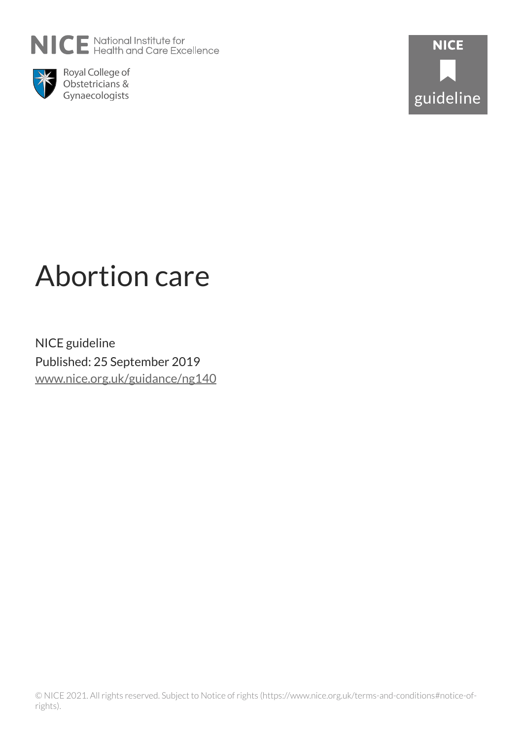



Royal College of Obstetricians & Gynaecologists



# Abortion care

NICE guideline Published: 25 September 2019 [www.nice.org.uk/guidance/ng140](https://www.nice.org.uk/guidance/ng140)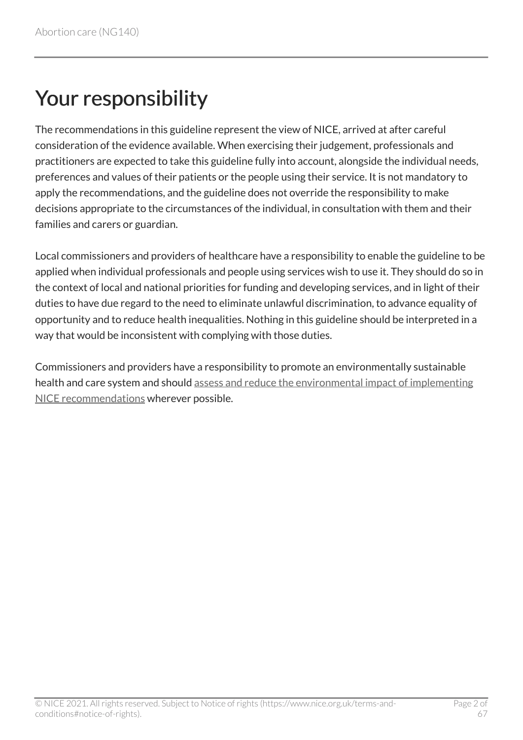# Your responsibility

The recommendations in this guideline represent the view of NICE, arrived at after careful consideration of the evidence available. When exercising their judgement, professionals and practitioners are expected to take this guideline fully into account, alongside the individual needs, preferences and values of their patients or the people using their service. It is not mandatory to apply the recommendations, and the guideline does not override the responsibility to make decisions appropriate to the circumstances of the individual, in consultation with them and their families and carers or guardian.

Local commissioners and providers of healthcare have a responsibility to enable the guideline to be applied when individual professionals and people using services wish to use it. They should do so in the context of local and national priorities for funding and developing services, and in light of their duties to have due regard to the need to eliminate unlawful discrimination, to advance equality of opportunity and to reduce health inequalities. Nothing in this guideline should be interpreted in a way that would be inconsistent with complying with those duties.

Commissioners and providers have a responsibility to promote an environmentally sustainable health and care system and should [assess and reduce the environmental impact of implementing](https://www.nice.org.uk/about/who-we-are/sustainability)  [NICE recommendations](https://www.nice.org.uk/about/who-we-are/sustainability) wherever possible.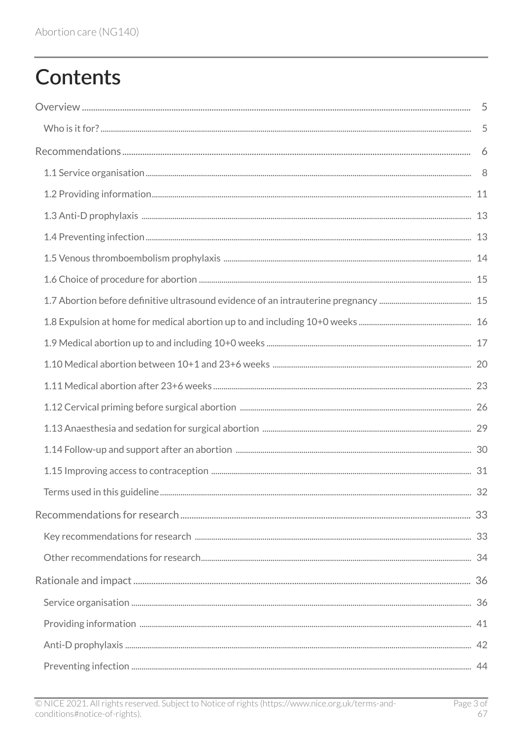# **Contents**

| 32 |
|----|
|    |
|    |
|    |
|    |
|    |
|    |
|    |
|    |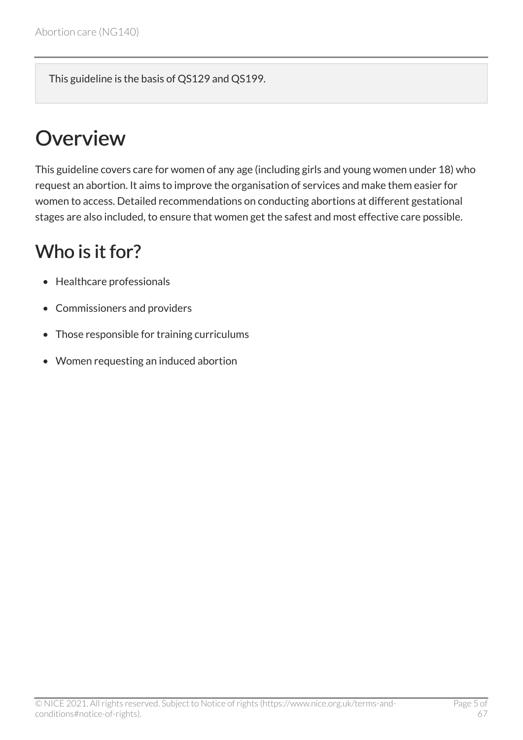This guideline is the basis of QS129 and QS199.

# <span id="page-4-0"></span>**Overview**

This guideline covers care for women of any age (including girls and young women under 18) who request an abortion. It aims to improve the organisation of services and make them easier for women to access. Detailed recommendations on conducting abortions at different gestational stages are also included, to ensure that women get the safest and most effective care possible.

# <span id="page-4-1"></span>Who is it for?

- Healthcare professionals
- Commissioners and providers
- Those responsible for training curriculums
- Women requesting an induced abortion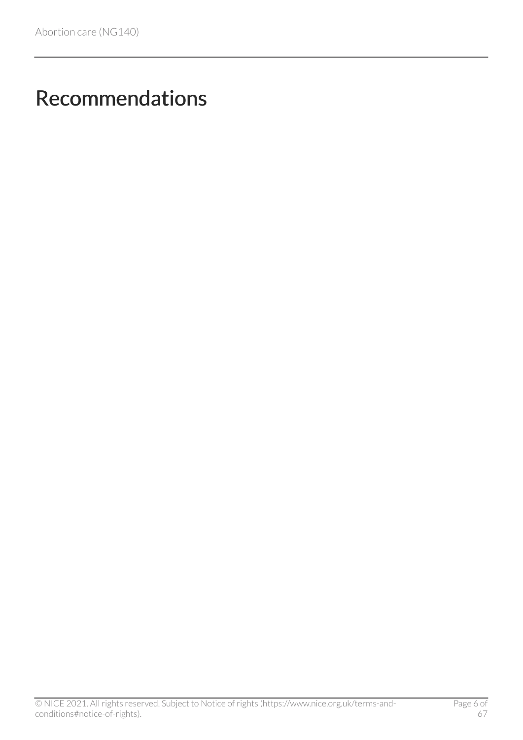# <span id="page-5-0"></span>Recommendations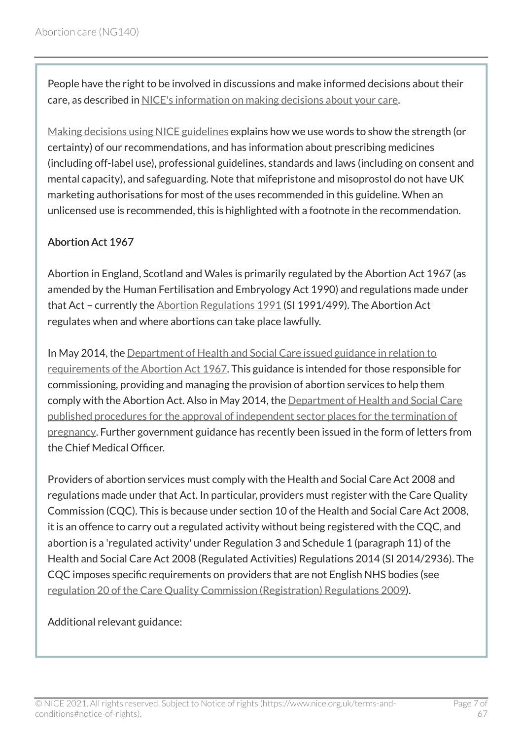People have the right to be involved in discussions and make informed decisions about their care, as described in [NICE's information on making decisions about your care](http://www.nice.org.uk/about/nice-communities/public-involvement/your-care).

[Making decisions using NICE guidelines](http://www.nice.org.uk/about/what-we-do/our-programmes/nice-guidance/nice-guidelines/using-NICE-guidelines-to-make-decisions) explains how we use words to show the strength (or certainty) of our recommendations, and has information about prescribing medicines (including off-label use), professional guidelines, standards and laws (including on consent and mental capacity), and safeguarding. Note that mifepristone and misoprostol do not have UK marketing authorisations for most of the uses recommended in this guideline. When an unlicensed use is recommended, this is highlighted with a footnote in the recommendation.

#### Abortion Act 1967

Abortion in England, Scotland and Wales is primarily regulated by the Abortion Act 1967 (as amended by the Human Fertilisation and Embryology Act 1990) and regulations made under that Act – currently the [Abortion Regulations 1991](http://www.legislation.gov.uk/uksi/1991/499/contents/made) (SI 1991/499). The Abortion Act regulates when and where abortions can take place lawfully.

In May 2014, the [Department of Health and Social Care issued guidance in relation to](https://www.gov.uk/government/publications/guidance-for-doctors-on-compliance-with-the-abortion-act) [requirements of the Abortion Act 1967.](https://www.gov.uk/government/publications/guidance-for-doctors-on-compliance-with-the-abortion-act) This guidance is intended for those responsible for commissioning, providing and managing the provision of abortion services to help them comply with the Abortion Act. Also in May 2014, the [Department of Health and Social Care](https://www.gov.uk/government/publications/update-to-procedures-for-the-approval-of-independent-sector-places-published) [published procedures for the approval of independent sector places for the termination of](https://www.gov.uk/government/publications/update-to-procedures-for-the-approval-of-independent-sector-places-published)  [pregnancy](https://www.gov.uk/government/publications/update-to-procedures-for-the-approval-of-independent-sector-places-published). Further government guidance has recently been issued in the form of letters from the Chief Medical Officer.

Providers of abortion services must comply with the Health and Social Care Act 2008 and regulations made under that Act. In particular, providers must register with the Care Quality Commission (CQC). This is because under section 10 of the Health and Social Care Act 2008, it is an offence to carry out a regulated activity without being registered with the CQC, and abortion is a 'regulated activity' under Regulation 3 and Schedule 1 (paragraph 11) of the Health and Social Care Act 2008 (Regulated Activities) Regulations 2014 (SI 2014/2936). The CQC imposes specific requirements on providers that are not English NHS bodies (see [regulation 20 of the Care Quality Commission \(Registration\) Regulations 2009\)](https://www.cqc.org.uk/file/4981).

Additional relevant guidance: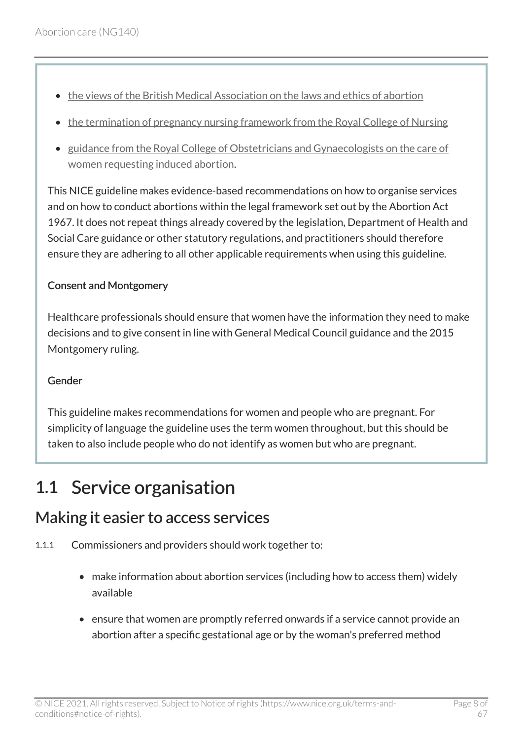- [the views of the British Medical Association on the laws and ethics of abortion](https://www.bma.org.uk/advice/employment/ethics/ethics-a-to-z/abortion)
- [the termination of pregnancy nursing framework from the Royal College of Nursing](https://www.rcn.org.uk/clinical-topics/womens-health/termination-of-pregnancy)
- [guidance from the Royal College of Obstetricians and Gynaecologists on the care of](https://www.rcog.org.uk/en/guidelines-research-services/guidelines/the-care-of-women-requesting-induced-abortion/)  [women requesting induced abortion](https://www.rcog.org.uk/en/guidelines-research-services/guidelines/the-care-of-women-requesting-induced-abortion/).

This NICE guideline makes evidence-based recommendations on how to organise services and on how to conduct abortions within the legal framework set out by the Abortion Act 1967. It does not repeat things already covered by the legislation, Department of Health and Social Care guidance or other statutory regulations, and practitioners should therefore ensure they are adhering to all other applicable requirements when using this guideline.

#### Consent and Montgomery

Healthcare professionals should ensure that women have the information they need to make decisions and to give consent in line with General Medical Council guidance and the 2015 Montgomery ruling.

#### Gender

This guideline makes recommendations for women and people who are pregnant. For simplicity of language the guideline uses the term women throughout, but this should be taken to also include people who do not identify as women but who are pregnant.

# <span id="page-7-0"></span>1.1 Service organisation

### <span id="page-7-1"></span>Making it easier to access services

- 1.1.1 Commissioners and providers should work together to:
	- make information about abortion services (including how to access them) widely available
	- ensure that women are promptly referred onwards if a service cannot provide an abortion after a specific gestational age or by the woman's preferred method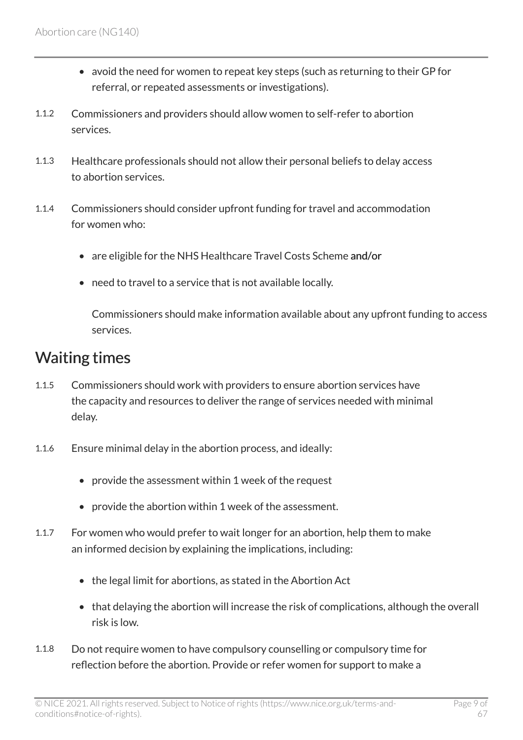- avoid the need for women to repeat key steps (such as returning to their GP for referral, or repeated assessments or investigations).
- 1.1.2 Commissioners and providers should allow women to self-refer to abortion services.
- 1.1.3 Healthcare professionals should not allow their personal beliefs to delay access to abortion services.
- 1.1.4 Commissioners should consider upfront funding for travel and accommodation for women who:
	- are eligible for the NHS Healthcare Travel Costs Scheme and/or
	- need to travel to a service that is not available locally.

Commissioners should make information available about any upfront funding to access services.

### <span id="page-8-0"></span>Waiting times

- 1.1.5 Commissioners should work with providers to ensure abortion services have the capacity and resources to deliver the range of services needed with minimal delay.
- 1.1.6 Ensure minimal delay in the abortion process, and ideally:
	- provide the assessment within 1 week of the request
	- provide the abortion within 1 week of the assessment.
- 1.1.7 For women who would prefer to wait longer for an abortion, help them to make an informed decision by explaining the implications, including:
	- the legal limit for abortions, as stated in the Abortion Act
	- that delaying the abortion will increase the risk of complications, although the overall risk is low.
- 1.1.8 Do not require women to have compulsory counselling or compulsory time for reflection before the abortion. Provide or refer women for support to make a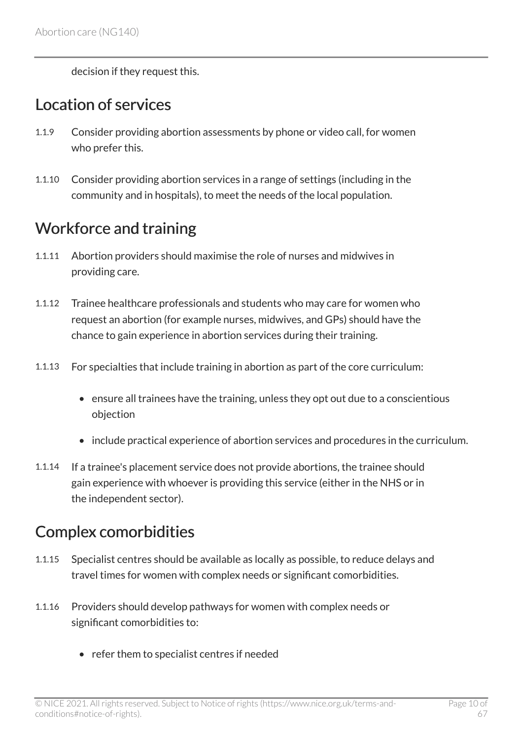decision if they request this.

### <span id="page-9-0"></span>Location of services

- 1.1.9 Consider providing abortion assessments by phone or video call, for women who prefer this.
- 1.1.10 Consider providing abortion services in a range of settings (including in the community and in hospitals), to meet the needs of the local population.

## <span id="page-9-1"></span>Workforce and training

- 1.1.11 Abortion providers should maximise the role of nurses and midwives in providing care.
- 1.1.12 Trainee healthcare professionals and students who may care for women who request an abortion (for example nurses, midwives, and GPs) should have the chance to gain experience in abortion services during their training.
- 1.1.13 For specialties that include training in abortion as part of the core curriculum:
	- ensure all trainees have the training, unless they opt out due to a conscientious objection
	- include practical experience of abortion services and procedures in the curriculum.
- 1.1.14 If a trainee's placement service does not provide abortions, the trainee should gain experience with whoever is providing this service (either in the NHS or in the independent sector).

## <span id="page-9-2"></span>Complex comorbidities

- 1.1.15 Specialist centres should be available as locally as possible, to reduce delays and travel times for women with complex needs or significant comorbidities.
- 1.1.16 Providers should develop pathways for women with complex needs or significant comorbidities to:
	- refer them to specialist centres if needed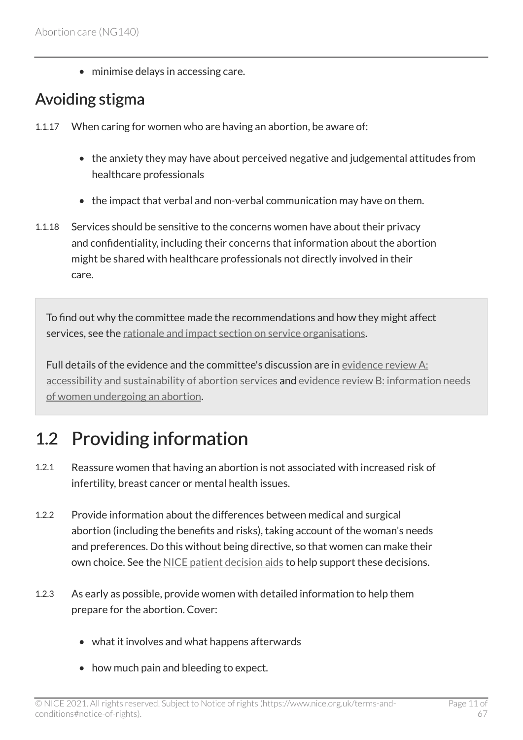• minimise delays in accessing care.

### <span id="page-10-1"></span>Avoiding stigma

- 1.1.17 When caring for women who are having an abortion, be aware of:
	- the anxiety they may have about perceived negative and judgemental attitudes from healthcare professionals
	- the impact that verbal and non-verbal communication may have on them.
- 1.1.18 Services should be sensitive to the concerns women have about their privacy and confidentiality, including their concerns that information about the abortion might be shared with healthcare professionals not directly involved in their care.

To find out why the committee made the recommendations and how they might affect services, see the [rationale and impact section on service organisations.](#page-35-1)

Full details of the evidence and the committee's discussion are in [evidence review](https://www.nice.org.uk/guidance/ng140/evidence/a-accessibility-and-sustainability-of-abortion-services-pdf-6905052973) A: [accessibility and sustainability of abortion services](https://www.nice.org.uk/guidance/ng140/evidence/a-accessibility-and-sustainability-of-abortion-services-pdf-6905052973) and evidence review [B: information needs](https://www.nice.org.uk/guidance/ng140/evidence/b-information-needs-of-women-undergoing-an-abortion-pdf-6905052974)  [of women undergoing an abortion](https://www.nice.org.uk/guidance/ng140/evidence/b-information-needs-of-women-undergoing-an-abortion-pdf-6905052974).

# <span id="page-10-0"></span>1.2 Providing information

- 1.2.1 Reassure women that having an abortion is not associated with increased risk of infertility, breast cancer or mental health issues.
- 1.2.2 Provide information about the differences between medical and surgical abortion (including the benefits and risks), taking account of the woman's needs and preferences. Do this without being directive, so that women can make their own choice. See the [NICE patient decision aids](https://www.nice.org.uk/guidance/ng140/resources/patient-decision-aids-and-user-guides-6906582256) to help support these decisions.
- 1.2.3 As early as possible, provide women with detailed information to help them prepare for the abortion. Cover:
	- what it involves and what happens afterwards
	- how much pain and bleeding to expect.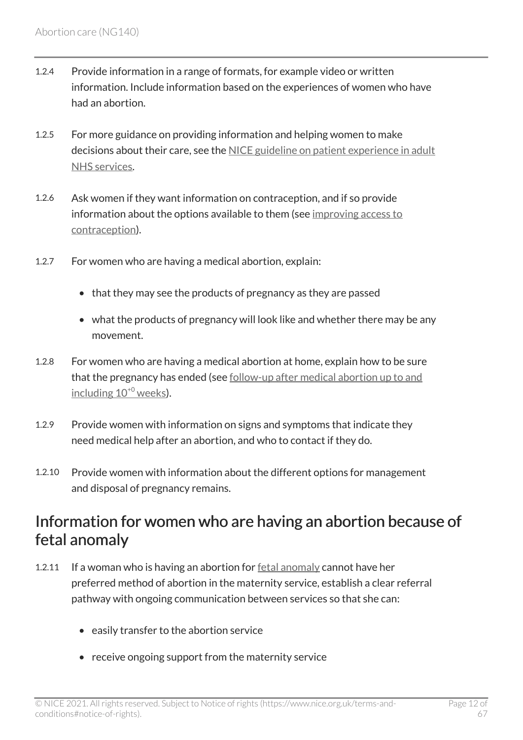- 1.2.4 Provide information in a range of formats, for example video or written information. Include information based on the experiences of women who have had an abortion.
- 1.2.5 For more guidance on providing information and helping women to make decisions about their care, see the [NICE guideline on patient experience in adult](https://www.nice.org.uk/guidance/cg138) [NHS services.](https://www.nice.org.uk/guidance/cg138)
- 1.2.6 Ask women if they want information on contraception, and if so provide information about the options available to them (see [improving access to](#page-30-0) [contraception\)](#page-30-0).
- 1.2.7 For women who are having a medical abortion, explain:
	- that they may see the products of pregnancy as they are passed
	- what the products of pregnancy will look like and whether there may be any movement.
- 1.2.8 For women who are having a medical abortion at home, explain how to be sure that the pregnancy has ended (see follow-up after medical abortion up to and including  $10^{+0}$  $10^{+0}$  $10^{+0}$  weeks).
- 1.2.9 Provide women with information on signs and symptoms that indicate they need medical help after an abortion, and who to contact if they do.
- 1.2.10 Provide women with information about the different options for management and disposal of pregnancy remains.

### <span id="page-11-0"></span>Information for women who are having an abortion because of fetal anomaly

- 1.2.11 If a woman who is having an abortion for [fetal anomaly](#page-31-1) cannot have her preferred method of abortion in the maternity service, establish a clear referral pathway with ongoing communication between services so that she can:
	- easily transfer to the abortion service
	- receive ongoing support from the maternity service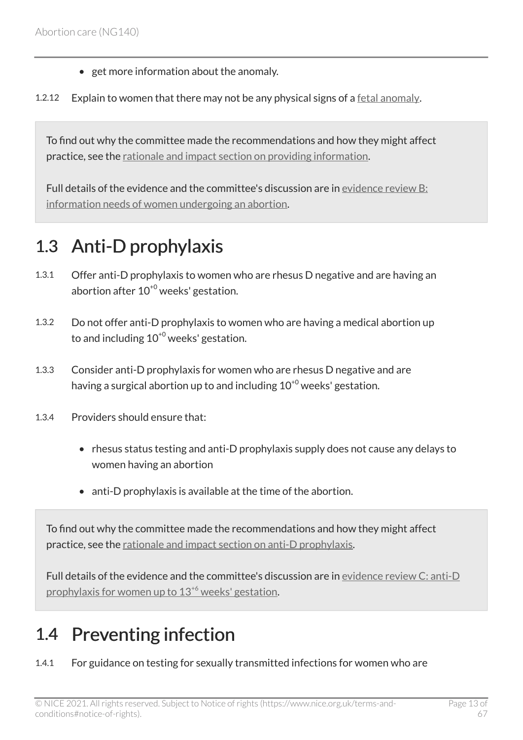- get more information about the anomaly.
- 1.2.12 Explain to women that there may not be any physical signs of a [fetal anomaly.](#page-31-1)

To find out why the committee made the recommendations and how they might affect practice, see the [rationale and impact section on providing information](#page-40-0).

Full details of the evidence and the committee's discussion are in [evidence review](https://www.nice.org.uk/guidance/ng140/evidence/b-information-needs-of-women-undergoing-an-abortion-pdf-6905052974) B: [information needs of women undergoing an abortion](https://www.nice.org.uk/guidance/ng140/evidence/b-information-needs-of-women-undergoing-an-abortion-pdf-6905052974).

## <span id="page-12-0"></span>1.3 Anti-D prophylaxis

- 1.3.1 Offer anti-D prophylaxis to women who are rhesus D negative and are having an abortion after  $10^{+0}$  weeks' gestation.
- 1.3.2 Do not offer anti-D prophylaxis to women who are having a medical abortion up to and including  $10^{+0}$  weeks' gestation.
- 1.3.3 Consider anti-D prophylaxis for women who are rhesus D negative and are having a surgical abortion up to and including  $10^{+0}$  weeks' gestation.
- 1.3.4 Providers should ensure that:
	- rhesus status testing and anti-D prophylaxis supply does not cause any delays to women having an abortion
	- anti-D prophylaxis is available at the time of the abortion.

To find out why the committee made the recommendations and how they might affect practice, see the [rationale and impact section on anti-D prophylaxis.](#page-41-0)

Full details of the evidence and the committee's discussion are in [evidence review](https://www.nice.org.uk/guidance/ng140/evidence/c-antid-prophylaxis-for-women-up-to-136-weeks-gestation-pdf-6905052975) C: anti-D [prophylaxis for women up to 13](https://www.nice.org.uk/guidance/ng140/evidence/c-antid-prophylaxis-for-women-up-to-136-weeks-gestation-pdf-6905052975)[+6](https://www.nice.org.uk/guidance/ng140/evidence/c-antid-prophylaxis-for-women-up-to-136-weeks-gestation-pdf-6905052975) weeks' gestation.

# <span id="page-12-1"></span>1.4 Preventing infection

1.4.1 For guidance on testing for sexually transmitted infections for women who are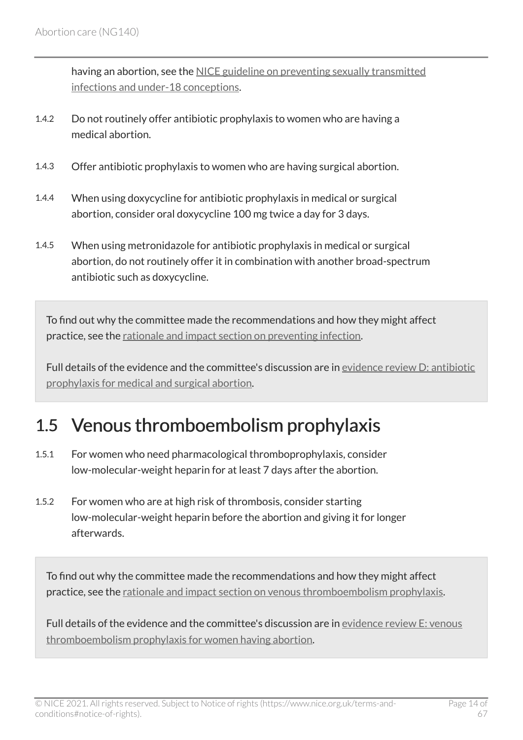having an abortion, see the [NICE guideline on preventing sexually transmitted](https://www.nice.org.uk/guidance/ph3) [infections and under-18 conceptions](https://www.nice.org.uk/guidance/ph3).

- 1.4.2 Do not routinely offer antibiotic prophylaxis to women who are having a medical abortion.
- 1.4.3 Offer antibiotic prophylaxis to women who are having surgical abortion.
- 1.4.4 When using doxycycline for antibiotic prophylaxis in medical or surgical abortion, consider oral doxycycline 100 mg twice a day for 3 days.
- 1.4.5 When using metronidazole for antibiotic prophylaxis in medical or surgical abortion, do not routinely offer it in combination with another broad-spectrum antibiotic such as doxycycline.

To find out why the committee made the recommendations and how they might affect practice, see the [rationale and impact section on preventing infection.](#page-43-0)

Full details of the evidence and the committee's discussion are in [evidence review](https://www.nice.org.uk/guidance/ng140/evidence/d-antibiotic-prophylaxis-for-medical-and-surgical-abortion-pdf-6905052976) D: antibiotic [prophylaxis for medical and surgical abortion.](https://www.nice.org.uk/guidance/ng140/evidence/d-antibiotic-prophylaxis-for-medical-and-surgical-abortion-pdf-6905052976)

## <span id="page-13-0"></span>1.5 Venous thromboembolism prophylaxis

- 1.5.1 For women who need pharmacological thromboprophylaxis, consider low-molecular-weight heparin for at least 7 days after the abortion.
- 1.5.2 For women who are at high risk of thrombosis, consider starting low-molecular-weight heparin before the abortion and giving it for longer afterwards.

To find out why the committee made the recommendations and how they might affect practice, see the [rationale and impact section on venous thromboembolism prophylaxis.](#page-45-0)

Full details of the evidence and the committee's discussion are in [evidence review](https://www.nice.org.uk/guidance/ng140/evidence/e-vte-prophylaxis-for-women-having-abortion-pdf-6905052977) E: venous [thromboembolism prophylaxis for women having abortion.](https://www.nice.org.uk/guidance/ng140/evidence/e-vte-prophylaxis-for-women-having-abortion-pdf-6905052977)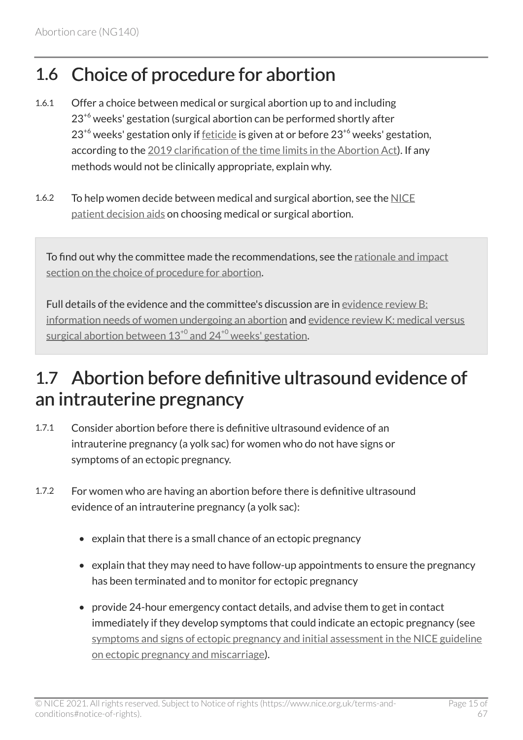# <span id="page-14-0"></span>1.6 Choice of procedure for abortion

- 1.6.1 Offer a choice between medical or surgical abortion up to and including  $23<sup>+6</sup>$  weeks' gestation (surgical abortion can be performed shortly after  $23^{+6}$  weeks' gestation only if [feticide](#page-31-2) is given at or before  $23^{+6}$  weeks' gestation. according to the [2019 clarification of the time limits in the Abortion Act](https://www.gov.uk/government/publications/abortion-further-clarification-of-time-limit/further-clarification-of-time-limit-for-termination-of-pregnancy-performed-under-grounds-c-and-d-of-the-abortion-act-1967)). If any methods would not be clinically appropriate, explain why.
- 1.6.2 To help women decide between medical and surgical abortion, see the [NICE](https://www.nice.org.uk/guidance/ng140/resources/patient-decision-aids-and-user-guides-6906582256)  [patient decision aids](https://www.nice.org.uk/guidance/ng140/resources/patient-decision-aids-and-user-guides-6906582256) on choosing medical or surgical abortion.

To find out why the committee made the recommendations, see the [rationale and impact](#page-46-0)  [section on the choice of procedure for abortion.](#page-46-0)

Full details of the evidence and the committee's discussion are in [evidence review](https://www.nice.org.uk/guidance/ng140/evidence/b-information-needs-of-women-undergoing-an-abortion-pdf-6905052974) B: [information needs of women undergoing an abortion](https://www.nice.org.uk/guidance/ng140/evidence/b-information-needs-of-women-undergoing-an-abortion-pdf-6905052974) and evidence review [K: medical versus](https://www.nice.org.uk/guidance/ng140/evidence/k-medical-versus-surgical-abortion-between-130-and-240-weeks-gestation-pdf-248581907029) surgical abortion between  $13^{+0}$  $13^{+0}$  $13^{+0}$  and  $24^{+0}$  weeks' gestation.

# <span id="page-14-1"></span>1.7 Abortion before definitive ultrasound evidence of an intrauterine pregnancy

- 1.7.1 Consider abortion before there is definitive ultrasound evidence of an intrauterine pregnancy (a yolk sac) for women who do not have signs or symptoms of an ectopic pregnancy.
- 1.7.2 For women who are having an abortion before there is definitive ultrasound evidence of an intrauterine pregnancy (a yolk sac):
	- explain that there is a small chance of an ectopic pregnancy
	- explain that they may need to have follow-up appointments to ensure the pregnancy has been terminated and to monitor for ectopic pregnancy
	- provide 24-hour emergency contact details, and advise them to get in contact immediately if they develop symptoms that could indicate an ectopic pregnancy (see [symptoms and signs of ectopic pregnancy and initial assessment in the NICE guideline](http://www.nice.org.uk/guidance/ng126/chapter/Recommendations#symptoms-and-signs-of-ectopic-pregnancy-and-initial-assessment)  [on ectopic pregnancy and miscarriage](http://www.nice.org.uk/guidance/ng126/chapter/Recommendations#symptoms-and-signs-of-ectopic-pregnancy-and-initial-assessment)).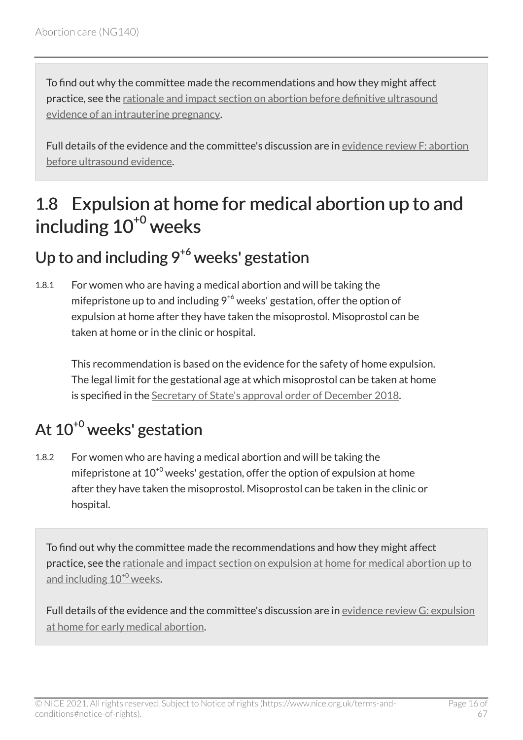To find out why the committee made the recommendations and how they might affect practice, see the [rationale and impact section on abortion before definitive ultrasound](#page-48-0) [evidence of an intrauterine pregnancy.](#page-48-0)

Full details of the evidence and the committee's discussion are in [evidence review](https://www.nice.org.uk/guidance/ng140/evidence/f-abortion-before-ultrasound-evidence-pdf-6905052978) F: abortion [before ultrasound evidence.](https://www.nice.org.uk/guidance/ng140/evidence/f-abortion-before-ultrasound-evidence-pdf-6905052978)

## <span id="page-15-0"></span>1.8 Expulsion at home for medical abortion up to and including 10<sup>+0</sup> weeks

## Up to and including  $9^{+6}$  weeks' gestation

1.8.1 For women who are having a medical abortion and will be taking the mifepristone up to and including  $9^{+6}$  weeks' gestation, offer the option of expulsion at home after they have taken the misoprostol. Misoprostol can be taken at home or in the clinic or hospital.

This recommendation is based on the evidence for the safety of home expulsion. The legal limit for the gestational age at which misoprostol can be taken at home is specified in the [Secretary of State's approval order of December 2018](https://www.gov.uk/government/publications/approval-of-home-use-for-the-second-stage-of-early-medical-abortion).

# At 10<sup>+0</sup> weeks' gestation

1.8.2 For women who are having a medical abortion and will be taking the mifepristone at  $10^{+0}$  weeks' gestation, offer the option of expulsion at home after they have taken the misoprostol. Misoprostol can be taken in the clinic or hospital.

To find out why the committee made the recommendations and how they might affect practice, see the [rationale and impact section on expulsion at home for medical abortion up to](#page-49-0) and including  $10^{+0}$  $10^{+0}$  $10^{+0}$  weeks.

Full details of the evidence and the committee's discussion are in [evidence review](https://www.nice.org.uk/guidance/ng140/evidence/g-expulsion-at-home-for-early-medical-abortion-pdf-6905052979) G: expulsion [at home for early medical abortion](https://www.nice.org.uk/guidance/ng140/evidence/g-expulsion-at-home-for-early-medical-abortion-pdf-6905052979).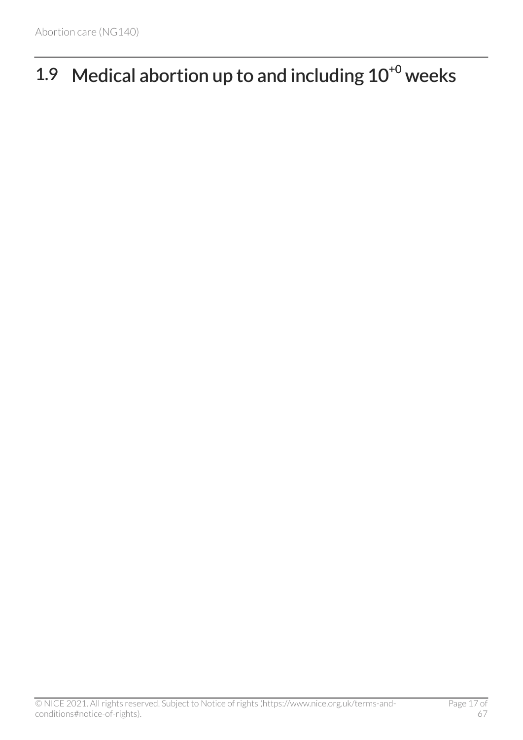# <span id="page-16-0"></span>1.9 Medical abortion up to and including  $10^{+0}$  weeks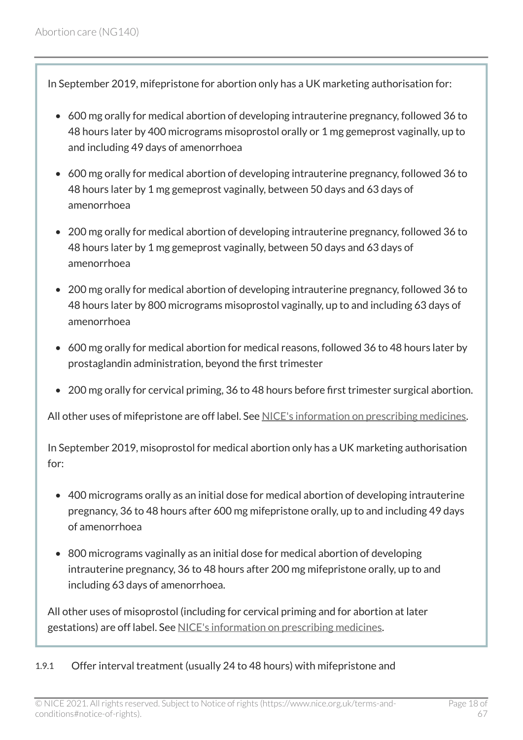In September 2019, mifepristone for abortion only has a UK marketing authorisation for:

- 600 mg orally for medical abortion of developing intrauterine pregnancy, followed 36 to 48 hours later by 400 micrograms misoprostol orally or 1 mg gemeprost vaginally, up to and including 49 days of amenorrhoea
- 600 mg orally for medical abortion of developing intrauterine pregnancy, followed 36 to 48 hours later by 1 mg gemeprost vaginally, between 50 days and 63 days of amenorrhoea
- 200 mg orally for medical abortion of developing intrauterine pregnancy, followed 36 to 48 hours later by 1 mg gemeprost vaginally, between 50 days and 63 days of amenorrhoea
- 200 mg orally for medical abortion of developing intrauterine pregnancy, followed 36 to 48 hours later by 800 micrograms misoprostol vaginally, up to and including 63 days of amenorrhoea
- 600 mg orally for medical abortion for medical reasons, followed 36 to 48 hours later by prostaglandin administration, beyond the first trimester
- 200 mg orally for cervical priming, 36 to 48 hours before first trimester surgical abortion.

All other uses of mifepristone are off label. See [NICE's information on prescribing medicines.](https://www.nice.org.uk/about/what-we-do/our-programmes/nice-guidance/nice-guidelines/making-decisions-using-nice-guidelines#prescribing-medicines)

In September 2019, misoprostol for medical abortion only has a UK marketing authorisation for:

- 400 micrograms orally as an initial dose for medical abortion of developing intrauterine pregnancy, 36 to 48 hours after 600 mg mifepristone orally, up to and including 49 days of amenorrhoea
- 800 micrograms vaginally as an initial dose for medical abortion of developing intrauterine pregnancy, 36 to 48 hours after 200 mg mifepristone orally, up to and including 63 days of amenorrhoea.

All other uses of misoprostol (including for cervical priming and for abortion at later gestations) are off label. See [NICE's information on prescribing medicines.](https://www.nice.org.uk/about/what-we-do/our-programmes/nice-guidance/nice-guidelines/making-decisions-using-nice-guidelines#prescribing-medicines)

#### 1.9.1 Offer interval treatment (usually 24 to 48 hours) with mifepristone and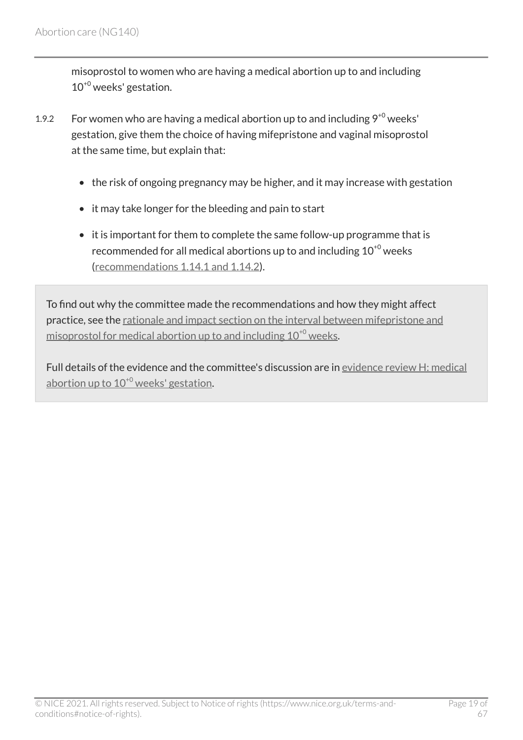misoprostol to women who are having a medical abortion up to and including 10+0 weeks' gestation.

- 1.9.2 For women who are having a medical abortion up to and including  $9^{+0}$  weeks' gestation, give them the choice of having mifepristone and vaginal misoprostol at the same time, but explain that:
	- the risk of ongoing pregnancy may be higher, and it may increase with gestation
	- it may take longer for the bleeding and pain to start
	- it is important for them to complete the same follow-up programme that is recommended for all medical abortions up to and including  $10^{+0}$  weeks [\(recommendations 1.14.1 and 1.14.2](#page-29-1)).

To find out why the committee made the recommendations and how they might affect practice, see the [rationale and impact section on the interval between mifepristone and](#page-50-0)  misoprostol for medical abortion up to and including  $10^{+0}$  $10^{+0}$  $10^{+0}$  weeks.

Full details of the evidence and the committee's discussion are in [evidence review](https://www.nice.org.uk/guidance/ng140/evidence/h-simultaneous-versus-delayed-mifepristone-misoprostol-administration-for-medical-abortion-up-to-100-weeks-gestation-pdf-6905052980) H: medical abortion up to  $10^{+0}$  $10^{+0}$  $10^{+0}$  weeks' gestation.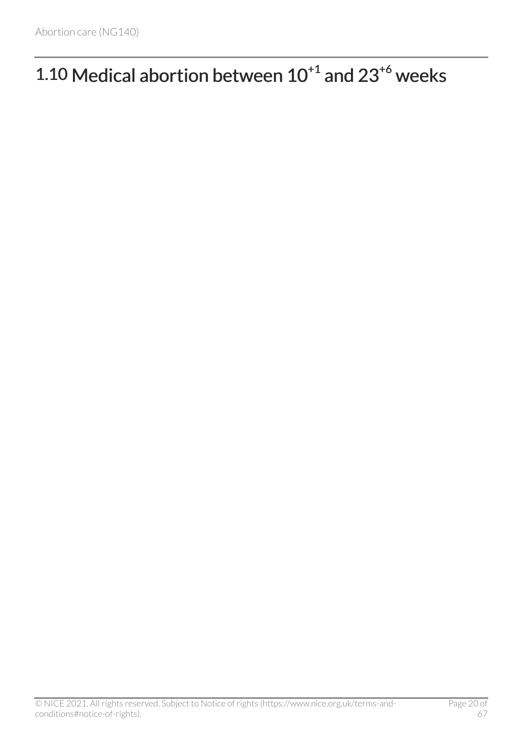# <span id="page-19-0"></span>1.10 Medical abortion between  $10^{+1}$  and  $23^{+6}$  weeks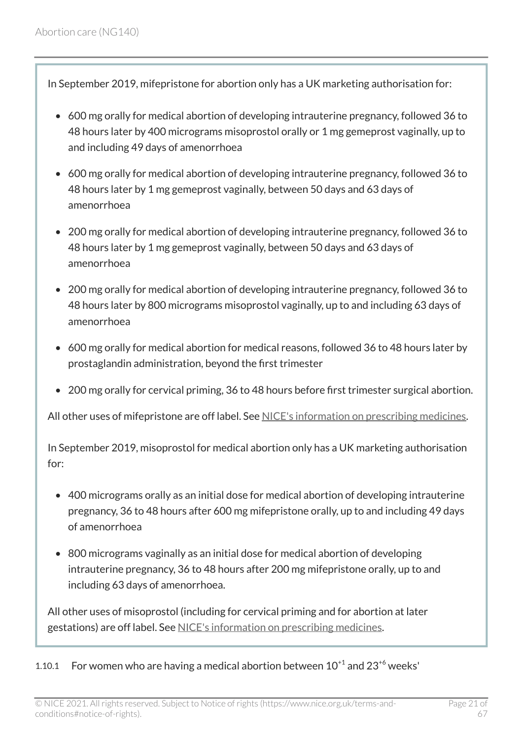In September 2019, mifepristone for abortion only has a UK marketing authorisation for:

- 600 mg orally for medical abortion of developing intrauterine pregnancy, followed 36 to 48 hours later by 400 micrograms misoprostol orally or 1 mg gemeprost vaginally, up to and including 49 days of amenorrhoea
- 600 mg orally for medical abortion of developing intrauterine pregnancy, followed 36 to 48 hours later by 1 mg gemeprost vaginally, between 50 days and 63 days of amenorrhoea
- 200 mg orally for medical abortion of developing intrauterine pregnancy, followed 36 to 48 hours later by 1 mg gemeprost vaginally, between 50 days and 63 days of amenorrhoea
- 200 mg orally for medical abortion of developing intrauterine pregnancy, followed 36 to 48 hours later by 800 micrograms misoprostol vaginally, up to and including 63 days of amenorrhoea
- 600 mg orally for medical abortion for medical reasons, followed 36 to 48 hours later by prostaglandin administration, beyond the first trimester
- 200 mg orally for cervical priming, 36 to 48 hours before first trimester surgical abortion.

All other uses of mifepristone are off label. See [NICE's information on prescribing medicines.](https://www.nice.org.uk/about/what-we-do/our-programmes/nice-guidance/nice-guidelines/making-decisions-using-nice-guidelines#prescribing-medicines)

In September 2019, misoprostol for medical abortion only has a UK marketing authorisation for:

- 400 micrograms orally as an initial dose for medical abortion of developing intrauterine pregnancy, 36 to 48 hours after 600 mg mifepristone orally, up to and including 49 days of amenorrhoea
- 800 micrograms vaginally as an initial dose for medical abortion of developing intrauterine pregnancy, 36 to 48 hours after 200 mg mifepristone orally, up to and including 63 days of amenorrhoea.

All other uses of misoprostol (including for cervical priming and for abortion at later gestations) are off label. See [NICE's information on prescribing medicines.](https://www.nice.org.uk/about/what-we-do/our-programmes/nice-guidance/nice-guidelines/making-decisions-using-nice-guidelines#prescribing-medicines)

1.10.1 For women who are having a medical abortion between  $10^{+1}$  and  $23^{+6}$  weeks'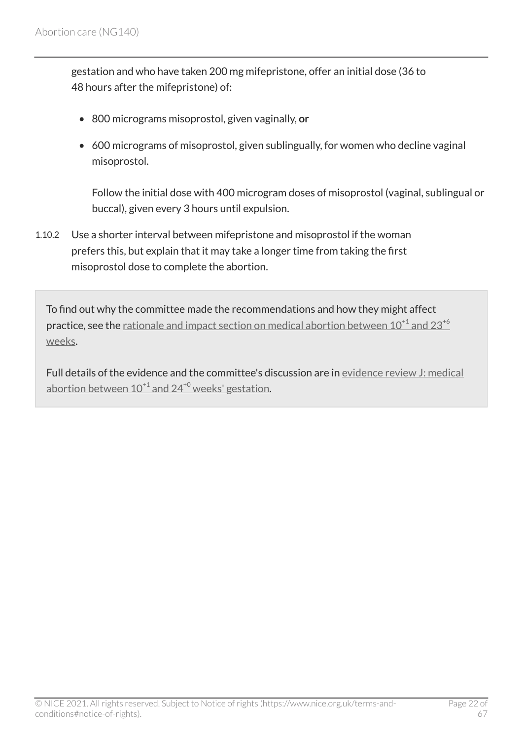gestation and who have taken 200 mg mifepristone, offer an initial dose (36 to 48 hours after the mifepristone) of:

- 800 micrograms misoprostol, given vaginally, or
- 600 micrograms of misoprostol, given sublingually, for women who decline vaginal misoprostol.

Follow the initial dose with 400 microgram doses of misoprostol (vaginal, sublingual or buccal), given every 3 hours until expulsion.

1.10.2 Use a shorter interval between mifepristone and misoprostol if the woman prefers this, but explain that it may take a longer time from taking the first misoprostol dose to complete the abortion.

To find out why the committee made the recommendations and how they might affect **practice, see the** rationale and impact section on medical abortion between  $10^{+1}$  $10^{+1}$  $10^{+1}$  and  $23^{+6}$  $23^{+6}$  $23^{+6}$ [weeks](#page-52-0).

Full details of the evidence and the committee's discussion are in [evidence review](https://www.nice.org.uk/guidance/ng140/evidence/j-misoprostol-after-mifepristone-for-inducing-medical-abortion-between-101-and-240-weeks-gestation-pdf-248581907028) J: medical abortion between  $10^{+1}$  $10^{+1}$  $10^{+1}$  and  $24^{+0}$  $24^{+0}$  $24^{+0}$  weeks' gestation.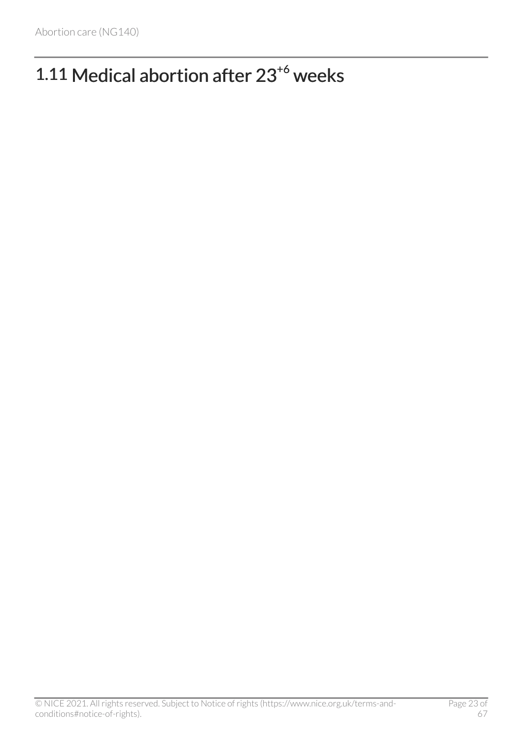# <span id="page-22-0"></span>1.11 Medical abortion after 23<sup>+6</sup> weeks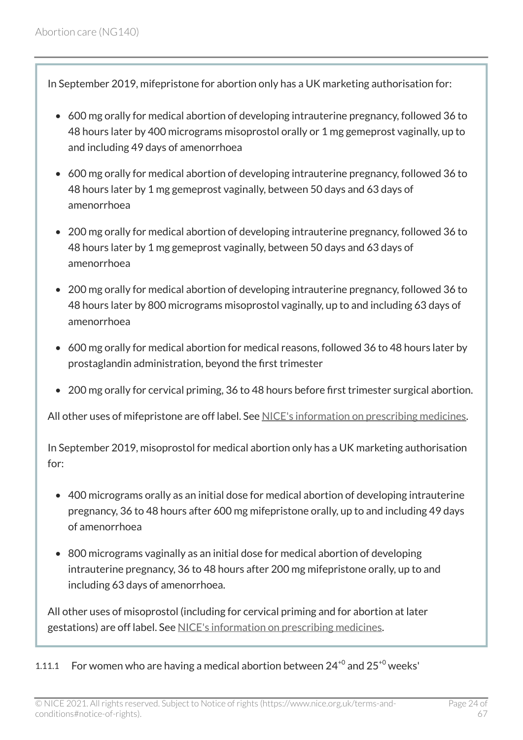In September 2019, mifepristone for abortion only has a UK marketing authorisation for:

- 600 mg orally for medical abortion of developing intrauterine pregnancy, followed 36 to 48 hours later by 400 micrograms misoprostol orally or 1 mg gemeprost vaginally, up to and including 49 days of amenorrhoea
- 600 mg orally for medical abortion of developing intrauterine pregnancy, followed 36 to 48 hours later by 1 mg gemeprost vaginally, between 50 days and 63 days of amenorrhoea
- 200 mg orally for medical abortion of developing intrauterine pregnancy, followed 36 to 48 hours later by 1 mg gemeprost vaginally, between 50 days and 63 days of amenorrhoea
- 200 mg orally for medical abortion of developing intrauterine pregnancy, followed 36 to 48 hours later by 800 micrograms misoprostol vaginally, up to and including 63 days of amenorrhoea
- 600 mg orally for medical abortion for medical reasons, followed 36 to 48 hours later by prostaglandin administration, beyond the first trimester
- 200 mg orally for cervical priming, 36 to 48 hours before first trimester surgical abortion.

All other uses of mifepristone are off label. See [NICE's information on prescribing medicines.](https://www.nice.org.uk/about/what-we-do/our-programmes/nice-guidance/nice-guidelines/making-decisions-using-nice-guidelines#prescribing-medicines)

In September 2019, misoprostol for medical abortion only has a UK marketing authorisation for:

- 400 micrograms orally as an initial dose for medical abortion of developing intrauterine pregnancy, 36 to 48 hours after 600 mg mifepristone orally, up to and including 49 days of amenorrhoea
- 800 micrograms vaginally as an initial dose for medical abortion of developing intrauterine pregnancy, 36 to 48 hours after 200 mg mifepristone orally, up to and including 63 days of amenorrhoea.

All other uses of misoprostol (including for cervical priming and for abortion at later gestations) are off label. See [NICE's information on prescribing medicines.](https://www.nice.org.uk/about/what-we-do/our-programmes/nice-guidance/nice-guidelines/making-decisions-using-nice-guidelines#prescribing-medicines)

1.11.1 For women who are having a medical abortion between  $24^{+0}$  and  $25^{+0}$  weeks'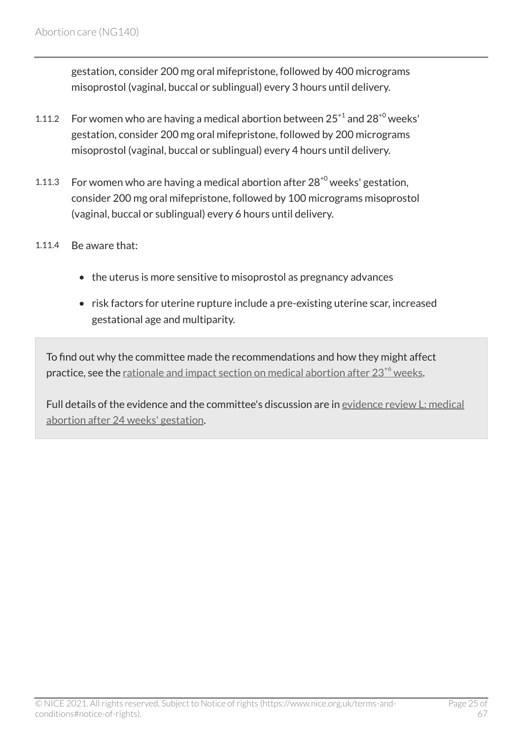gestation, consider 200 mg oral mifepristone, followed by 400 micrograms misoprostol (vaginal, buccal or sublingual) every 3 hours until delivery.

- 1.11.2 For women who are having a medical abortion between  $25^{+1}$  and  $28^{+0}$  weeks' gestation, consider 200 mg oral mifepristone, followed by 200 micrograms misoprostol (vaginal, buccal or sublingual) every 4 hours until delivery.
- 1.11.3 For women who are having a medical abortion after  $28^{+0}$  weeks' gestation, consider 200 mg oral mifepristone, followed by 100 micrograms misoprostol (vaginal, buccal or sublingual) every 6 hours until delivery.
- 1.11.4 Be aware that:
	- the uterus is more sensitive to misoprostol as pregnancy advances
	- risk factors for uterine rupture include a pre-existing uterine scar, increased gestational age and multiparity.

To find out why the committee made the recommendations and how they might affect practice, see the rationale and impact section on medical abortion after  $23^{+6}$  $23^{+6}$  $23^{+6}$  weeks.

Full details of the evidence and the committee's discussion are in [evidence review](https://www.nice.org.uk/guidance/ng140/evidence/l-medical-abortion-after-24-weeks-gestation-pdf-248581907030) L: medical [abortion after 24 weeks' gestation.](https://www.nice.org.uk/guidance/ng140/evidence/l-medical-abortion-after-24-weeks-gestation-pdf-248581907030)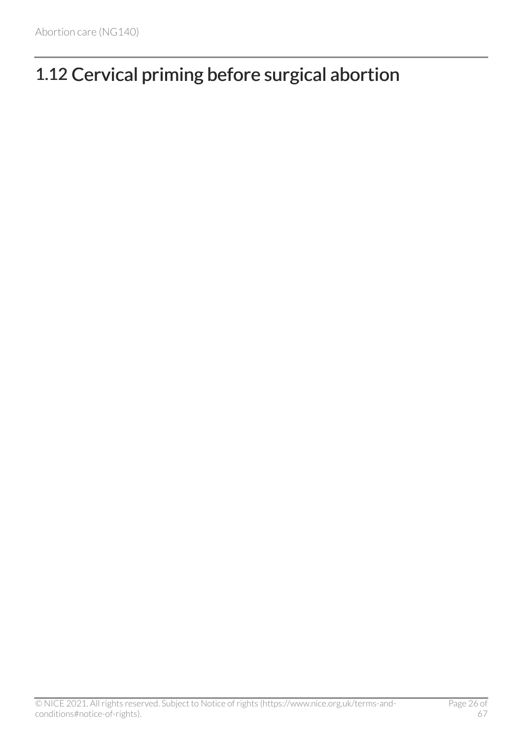# <span id="page-25-0"></span>1.12 Cervical priming before surgical abortion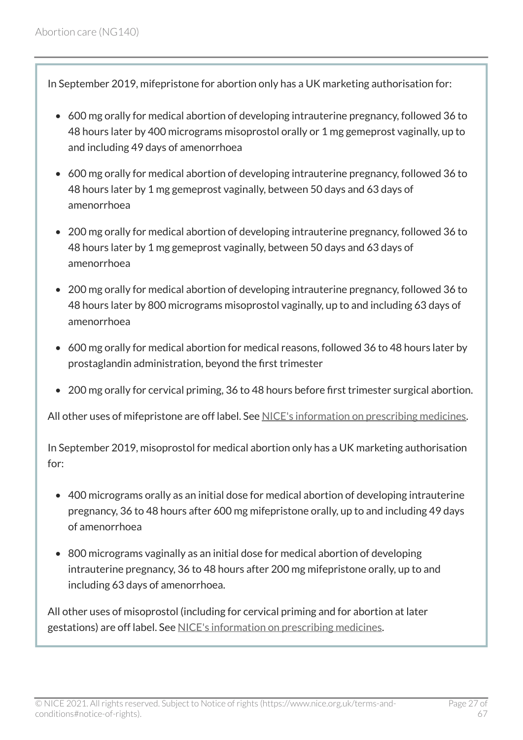<span id="page-26-0"></span>In September 2019, mifepristone for abortion only has a UK marketing authorisation for:

- 600 mg orally for medical abortion of developing intrauterine pregnancy, followed 36 to 48 hours later by 400 micrograms misoprostol orally or 1 mg gemeprost vaginally, up to and including 49 days of amenorrhoea
- 600 mg orally for medical abortion of developing intrauterine pregnancy, followed 36 to 48 hours later by 1 mg gemeprost vaginally, between 50 days and 63 days of amenorrhoea
- 200 mg orally for medical abortion of developing intrauterine pregnancy, followed 36 to 48 hours later by 1 mg gemeprost vaginally, between 50 days and 63 days of amenorrhoea
- 200 mg orally for medical abortion of developing intrauterine pregnancy, followed 36 to 48 hours later by 800 micrograms misoprostol vaginally, up to and including 63 days of amenorrhoea
- 600 mg orally for medical abortion for medical reasons, followed 36 to 48 hours later by prostaglandin administration, beyond the first trimester
- 200 mg orally for cervical priming, 36 to 48 hours before first trimester surgical abortion.

All other uses of mifepristone are off label. See [NICE's information on prescribing medicines.](https://www.nice.org.uk/about/what-we-do/our-programmes/nice-guidance/nice-guidelines/making-decisions-using-nice-guidelines#prescribing-medicines)

In September 2019, misoprostol for medical abortion only has a UK marketing authorisation for:

- 400 micrograms orally as an initial dose for medical abortion of developing intrauterine pregnancy, 36 to 48 hours after 600 mg mifepristone orally, up to and including 49 days of amenorrhoea
- 800 micrograms vaginally as an initial dose for medical abortion of developing intrauterine pregnancy, 36 to 48 hours after 200 mg mifepristone orally, up to and including 63 days of amenorrhoea.

All other uses of misoprostol (including for cervical priming and for abortion at later gestations) are off label. See [NICE's information on prescribing medicines.](https://www.nice.org.uk/about/what-we-do/our-programmes/nice-guidance/nice-guidelines/making-decisions-using-nice-guidelines#prescribing-medicines)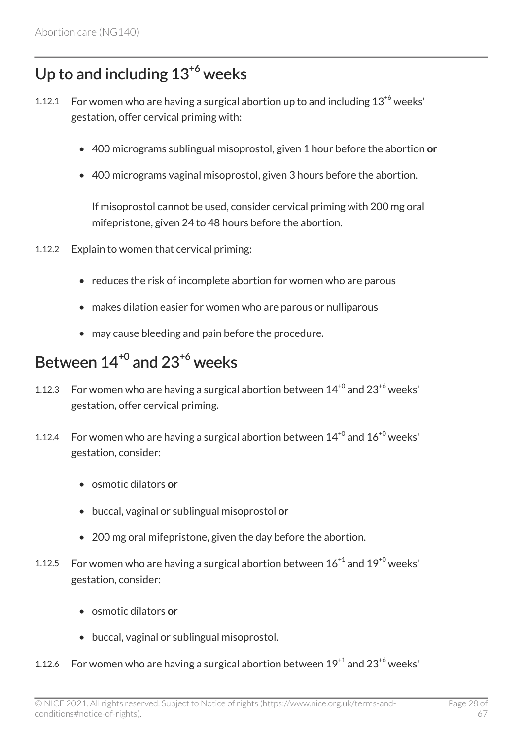## Up to and including  $13^{+6}$  weeks

- 1.12.1 For women who are having a surgical abortion up to and including  $13^{+6}$  weeks' gestation, offer cervical priming with:
	- 400 micrograms sublingual misoprostol, given 1 hour before the abortion or
	- 400 micrograms vaginal misoprostol, given 3 hours before the abortion.

If misoprostol cannot be used, consider cervical priming with 200 mg oral mifepristone, given 24 to 48 hours before the abortion.

- 1.12.2 Explain to women that cervical priming:
	- reduces the risk of incomplete abortion for women who are parous
	- makes dilation easier for women who are parous or nulliparous
	- may cause bleeding and pain before the procedure.

## <span id="page-27-0"></span>Between  $14^{+0}$  and  $23^{+6}$  weeks

- 1.12.3 For women who are having a surgical abortion between  $14^{+0}$  and  $23^{+6}$  weeks' gestation, offer cervical priming.
- 1.12.4 For women who are having a surgical abortion between  $14^{+0}$  and  $16^{+0}$  weeks' gestation, consider:
	- osmotic dilators or
	- buccal, vaginal or sublingual misoprostol or
	- 200 mg oral mifepristone, given the day before the abortion.
- 1.12.5 For women who are having a surgical abortion between  $16^{+1}$  and  $19^{+0}$  weeks' gestation, consider:
	- osmotic dilators or
	- buccal, vaginal or sublingual misoprostol.
- 1.12.6 For women who are having a surgical abortion between  $19^{+1}$  and  $23^{+6}$  weeks'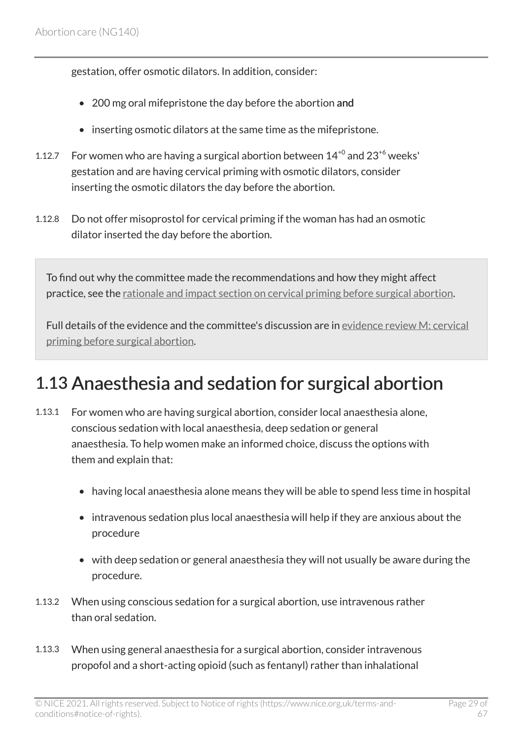gestation, offer osmotic dilators. In addition, consider:

- 200 mg oral mifepristone the day before the abortion and
- inserting osmotic dilators at the same time as the mifepristone.
- 1.12.7 For women who are having a surgical abortion between  $14^{+0}$  and  $23^{+6}$  weeks' gestation and are having cervical priming with osmotic dilators, consider inserting the osmotic dilators the day before the abortion.
- 1.12.8 Do not offer misoprostol for cervical priming if the woman has had an osmotic dilator inserted the day before the abortion.

To find out why the committee made the recommendations and how they might affect practice, see the [rationale and impact section on cervical priming before surgical abortion.](#page-54-0)

Full details of the evidence and the committee's discussion are in [evidence review](https://www.nice.org.uk/guidance/ng140/evidence/m-cervical-priming-before-surgical-abortion-pdf-248581907031) M: cervical [priming before surgical abortion.](https://www.nice.org.uk/guidance/ng140/evidence/m-cervical-priming-before-surgical-abortion-pdf-248581907031)

## <span id="page-28-0"></span>1.13 Anaesthesia and sedation for surgical abortion

- 1.13.1 For women who are having surgical abortion, consider local anaesthesia alone, conscious sedation with local anaesthesia, deep sedation or general anaesthesia. To help women make an informed choice, discuss the options with them and explain that:
	- having local anaesthesia alone means they will be able to spend less time in hospital
	- intravenous sedation plus local anaesthesia will help if they are anxious about the procedure
	- with deep sedation or general anaesthesia they will not usually be aware during the procedure.
- 1.13.2 When using conscious sedation for a surgical abortion, use intravenous rather than oral sedation.
- 1.13.3 When using general anaesthesia for a surgical abortion, consider intravenous propofol and a short-acting opioid (such as fentanyl) rather than inhalational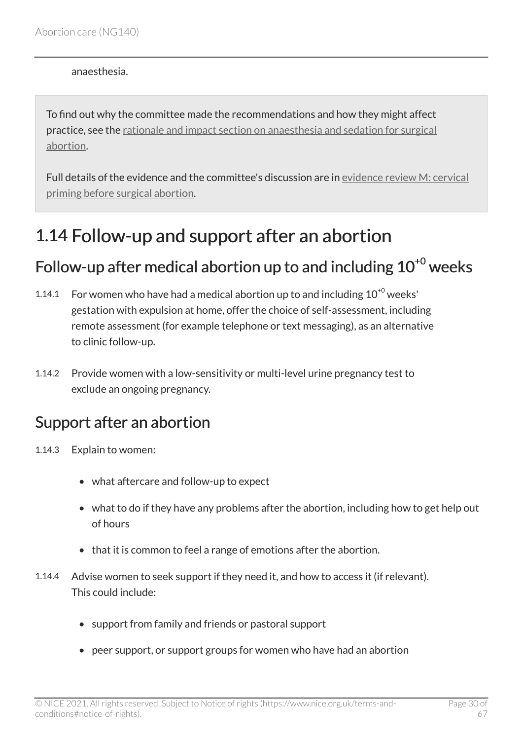anaesthesia.

To find out why the committee made the recommendations and how they might affect practice, see the [rationale and impact section on anaesthesia and sedation for surgical](#page-57-0) [abortion.](#page-57-0)

Full details of the evidence and the committee's discussion are in [evidence review](https://www.nice.org.uk/guidance/ng140/evidence/m-cervical-priming-before-surgical-abortion-pdf-248581907031) M: cervical [priming before surgical abortion.](https://www.nice.org.uk/guidance/ng140/evidence/m-cervical-priming-before-surgical-abortion-pdf-248581907031)

## <span id="page-29-0"></span>1.14 Follow-up and support after an abortion

### <span id="page-29-1"></span>Follow-up after medical abortion up to and including  $10^{+0}$  weeks

- 1.14.1 For women who have had a medical abortion up to and including  $10^{+0}$  weeks' gestation with expulsion at home, offer the choice of self-assessment, including remote assessment (for example telephone or text messaging), as an alternative to clinic follow-up.
- 1.14.2 Provide women with a low-sensitivity or multi-level urine pregnancy test to exclude an ongoing pregnancy.

### <span id="page-29-2"></span>Support after an abortion

- 1.14.3 Explain to women:
	- what aftercare and follow-up to expect
	- what to do if they have any problems after the abortion, including how to get help out of hours
	- that it is common to feel a range of emotions after the abortion.
- 1.14.4 Advise women to seek support if they need it, and how to access it (if relevant). This could include:
	- support from family and friends or pastoral support
	- peer support, or support groups for women who have had an abortion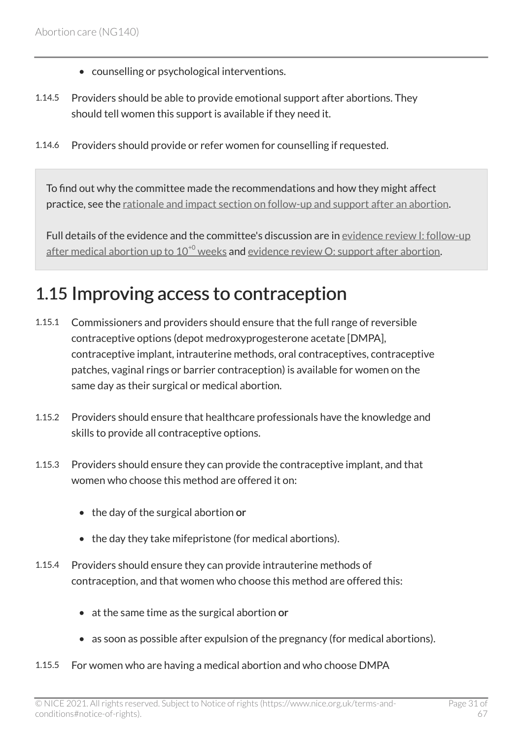- counselling or psychological interventions.
- 1.14.5 Providers should be able to provide emotional support after abortions. They should tell women this support is available if they need it.
- 1.14.6 Providers should provide or refer women for counselling if requested.

To find out why the committee made the recommendations and how they might affect practice, see the [rationale and impact section on follow-up and support after an abortion.](#page-59-0)

Full details of the evidence and the committee's discussion are in [evidence review](https://www.nice.org.uk/guidance/ng140/evidence/i-followup-after-medical-abortion-up-to-100-weeks-pdf-6905052981) I: follow-up after medical abortion up to  $10^{+0}$  $10^{+0}$  $10^{+0}$  weeks and evidence review [O: support after abortion](https://www.nice.org.uk/guidance/ng140/evidence/o-support-after-abortion-pdf-248581907033).

## <span id="page-30-0"></span>1.15 Improving access to contraception

- 1.15.1 Commissioners and providers should ensure that the full range of reversible contraceptive options (depot medroxyprogesterone acetate [DMPA], contraceptive implant, intrauterine methods, oral contraceptives, contraceptive patches, vaginal rings or barrier contraception) is available for women on the same day as their surgical or medical abortion.
- 1.15.2 Providers should ensure that healthcare professionals have the knowledge and skills to provide all contraceptive options.
- 1.15.3 Providers should ensure they can provide the contraceptive implant, and that women who choose this method are offered it on:
	- the day of the surgical abortion or
	- the day they take mifepristone (for medical abortions).
- 1.15.4 Providers should ensure they can provide intrauterine methods of contraception, and that women who choose this method are offered this:
	- at the same time as the surgical abortion or
	- as soon as possible after expulsion of the pregnancy (for medical abortions).
- 1.15.5 For women who are having a medical abortion and who choose DMPA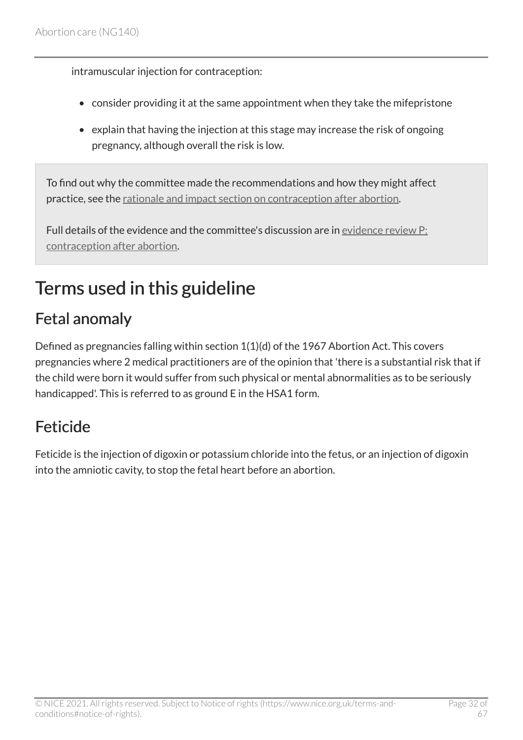intramuscular injection for contraception:

- consider providing it at the same appointment when they take the mifepristone
- explain that having the injection at this stage may increase the risk of ongoing pregnancy, although overall the risk is low.

To find out why the committee made the recommendations and how they might affect practice, see the [rationale and impact section on contraception after abortion](#page-61-0).

Full details of the evidence and the committee's discussion are in [evidence review](https://www.nice.org.uk/guidance/ng140/evidence/p-contraception-after-abortion-pdf-248581907034) P: [contraception after abortion.](https://www.nice.org.uk/guidance/ng140/evidence/p-contraception-after-abortion-pdf-248581907034)

# <span id="page-31-0"></span>Terms used in this guideline

## <span id="page-31-1"></span>Fetal anomaly

Defined as pregnancies falling within section 1(1)(d) of the 1967 Abortion Act. This covers pregnancies where 2 medical practitioners are of the opinion that 'there is a substantial risk that if the child were born it would suffer from such physical or mental abnormalities as to be seriously handicapped'. This is referred to as ground E in the HSA1 form.

## <span id="page-31-2"></span>Feticide

Feticide is the injection of digoxin or potassium chloride into the fetus, or an injection of digoxin into the amniotic cavity, to stop the fetal heart before an abortion.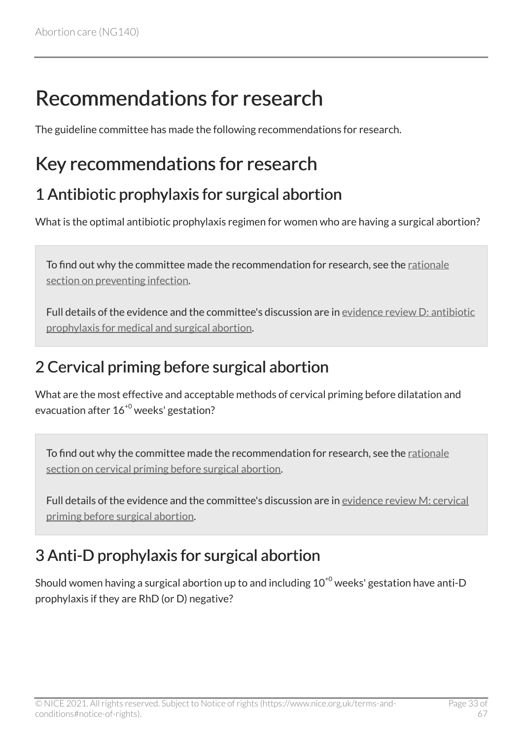# <span id="page-32-0"></span>Recommendations for research

The guideline committee has made the following recommendations for research.

## <span id="page-32-1"></span>Key recommendations for research

### 1 Antibiotic prophylaxis for surgical abortion

What is the optimal antibiotic prophylaxis regimen for women who are having a surgical abortion?

To find out why the committee made the recommendation for research, see the [rationale](#page-41-0) [section on preventing infection](#page-41-0).

Full details of the evidence and the committee's discussion are in [evidence review](https://www.nice.org.uk/guidance/ng140/evidence/d-antibiotic-prophylaxis-for-medical-and-surgical-abortion-pdf-6905052976) D: antibiotic [prophylaxis for medical and surgical abortion.](https://www.nice.org.uk/guidance/ng140/evidence/d-antibiotic-prophylaxis-for-medical-and-surgical-abortion-pdf-6905052976)

## 2 Cervical priming before surgical abortion

What are the most effective and acceptable methods of cervical priming before dilatation and evacuation after 16+0 weeks' gestation?

To find out why the committee made the recommendation for research, see the [rationale](#page-55-0) [section on cervical priming before surgical abortion.](#page-55-0)

Full details of the evidence and the committee's discussion are in [evidence review](https://www.nice.org.uk/guidance/ng140/evidence/m-cervical-priming-before-surgical-abortion-pdf-248581907031) M: cervical [priming before surgical abortion.](https://www.nice.org.uk/guidance/ng140/evidence/m-cervical-priming-before-surgical-abortion-pdf-248581907031)

## 3 Anti-D prophylaxis for surgical abortion

Should women having a surgical abortion up to and including  $10^{+0}$  weeks' gestation have anti-D prophylaxis if they are RhD (or D) negative?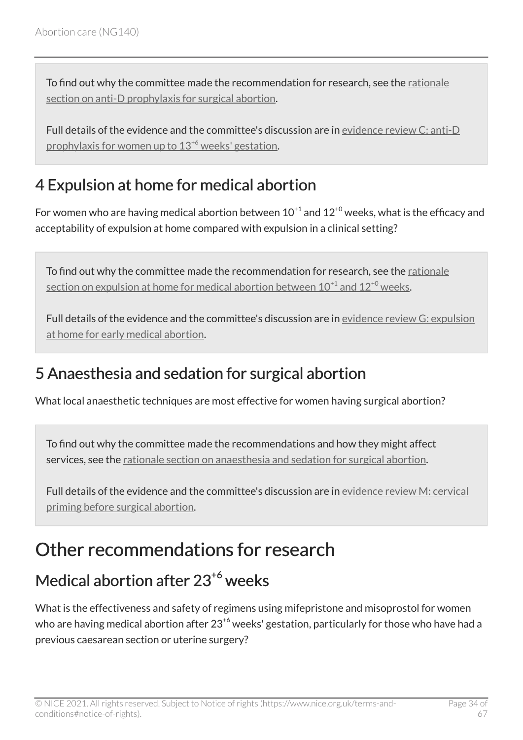To find out why the committee made the recommendation for research, see the [rationale](#page-41-0) [section on anti-D prophylaxis for surgical abortion.](#page-41-0)

Full details of the evidence and the committee's discussion are in [evidence review](https://www.nice.org.uk/guidance/ng140/evidence/c-antid-prophylaxis-for-women-up-to-136-weeks-gestation-pdf-6905052975) C: anti-D prophylaxis for women up to  $13^{+6}$  $13^{+6}$  $13^{+6}$  weeks' gestation.

## 4 Expulsion at home for medical abortion

For women who are having medical abortion between  $10^{+1}$  and  $12^{+0}$  weeks, what is the efficacy and acceptability of expulsion at home compared with expulsion in a clinical setting?

To find out why the committee made the recommendation for research, see the [rationale](#page-49-0) section on expulsion at home for medical abortion between  $10^{+1}$  $10^{+1}$  $10^{+1}$  and  $12^{+0}$  $12^{+0}$  $12^{+0}$  weeks.

Full details of the evidence and the committee's discussion are in [evidence review](https://www.nice.org.uk/guidance/ng140/evidence/g-expulsion-at-home-for-early-medical-abortion-pdf-6905052979) G: expulsion [at home for early medical abortion](https://www.nice.org.uk/guidance/ng140/evidence/g-expulsion-at-home-for-early-medical-abortion-pdf-6905052979).

### 5 Anaesthesia and sedation for surgical abortion

What local anaesthetic techniques are most effective for women having surgical abortion?

To find out why the committee made the recommendations and how they might affect services, see the [rationale section on anaesthesia and sedation for surgical abortion](#page-57-0).

Full details of the evidence and the committee's discussion are in [evidence review](https://www.nice.org.uk/guidance/ng140/evidence/m-cervical-priming-before-surgical-abortion-pdf-248581907031) M: cervical [priming before surgical abortion.](https://www.nice.org.uk/guidance/ng140/evidence/m-cervical-priming-before-surgical-abortion-pdf-248581907031)

# <span id="page-33-0"></span>Other recommendations for research

## Medical abortion after 23<sup>+6</sup> weeks

What is the effectiveness and safety of regimens using mifepristone and misoprostol for women who are having medical abortion after  $23^{6}$  weeks' gestation, particularly for those who have had a previous caesarean section or uterine surgery?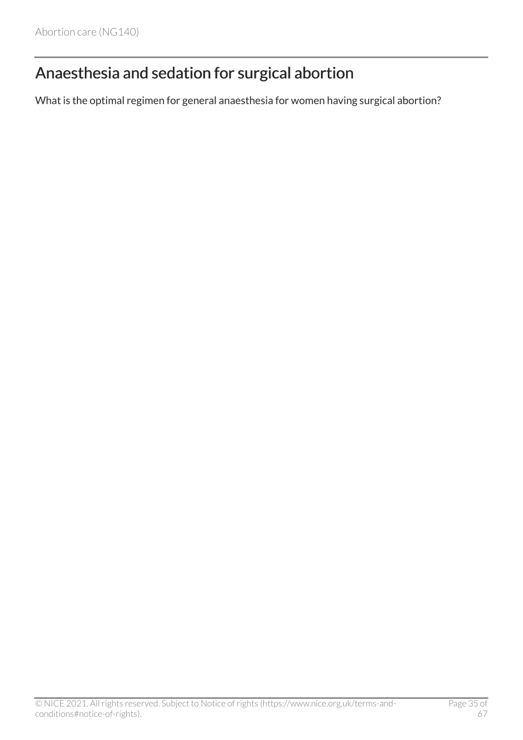## Anaesthesia and sedation for surgical abortion

What is the optimal regimen for general anaesthesia for women having surgical abortion?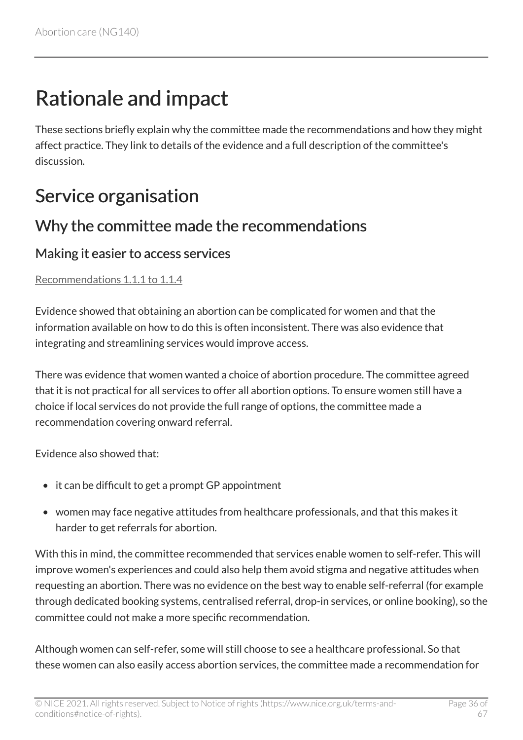# <span id="page-35-0"></span>Rationale and impact

These sections briefly explain why the committee made the recommendations and how they might affect practice. They link to details of the evidence and a full description of the committee's discussion.

# <span id="page-35-1"></span>Service organisation

### Why the committee made the recommendations

#### Making it easier to access services

[Recommendations 1.1.1 to 1.1.4](#page-7-1) 

Evidence showed that obtaining an abortion can be complicated for women and that the information available on how to do this is often inconsistent. There was also evidence that integrating and streamlining services would improve access.

There was evidence that women wanted a choice of abortion procedure. The committee agreed that it is not practical for all services to offer all abortion options. To ensure women still have a choice if local services do not provide the full range of options, the committee made a recommendation covering onward referral.

Evidence also showed that:

- it can be difficult to get a prompt GP appointment
- women may face negative attitudes from healthcare professionals, and that this makes it harder to get referrals for abortion.

With this in mind, the committee recommended that services enable women to self-refer. This will improve women's experiences and could also help them avoid stigma and negative attitudes when requesting an abortion. There was no evidence on the best way to enable self-referral (for example through dedicated booking systems, centralised referral, drop-in services, or online booking), so the committee could not make a more specific recommendation.

Although women can self-refer, some will still choose to see a healthcare professional. So that these women can also easily access abortion services, the committee made a recommendation for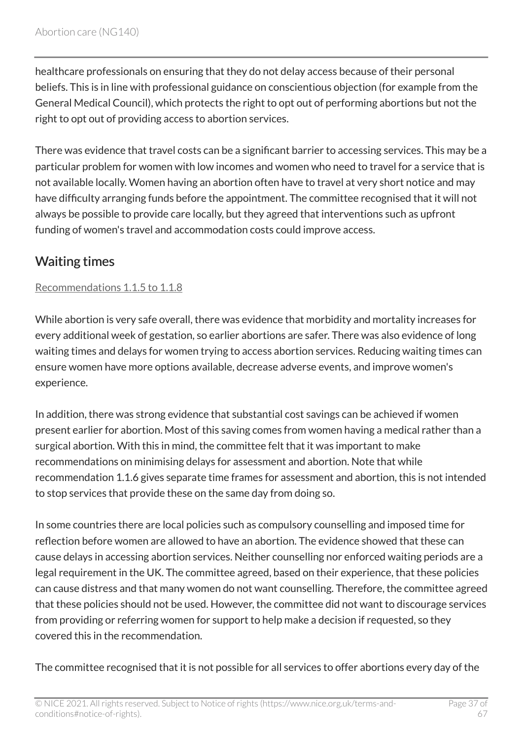healthcare professionals on ensuring that they do not delay access because of their personal beliefs. This is in line with professional guidance on conscientious objection (for example from the General Medical Council), which protects the right to opt out of performing abortions but not the right to opt out of providing access to abortion services.

There was evidence that travel costs can be a significant barrier to accessing services. This may be a particular problem for women with low incomes and women who need to travel for a service that is not available locally. Women having an abortion often have to travel at very short notice and may have difficulty arranging funds before the appointment. The committee recognised that it will not always be possible to provide care locally, but they agreed that interventions such as upfront funding of women's travel and accommodation costs could improve access.

### Waiting times

#### [Recommendations 1.1.5 to 1.1.8](#page-8-0)

While abortion is very safe overall, there was evidence that morbidity and mortality increases for every additional week of gestation, so earlier abortions are safer. There was also evidence of long waiting times and delays for women trying to access abortion services. Reducing waiting times can ensure women have more options available, decrease adverse events, and improve women's experience.

In addition, there was strong evidence that substantial cost savings can be achieved if women present earlier for abortion. Most of this saving comes from women having a medical rather than a surgical abortion. With this in mind, the committee felt that it was important to make recommendations on minimising delays for assessment and abortion. Note that while recommendation 1.1.6 gives separate time frames for assessment and abortion, this is not intended to stop services that provide these on the same day from doing so.

In some countries there are local policies such as compulsory counselling and imposed time for reflection before women are allowed to have an abortion. The evidence showed that these can cause delays in accessing abortion services. Neither counselling nor enforced waiting periods are a legal requirement in the UK. The committee agreed, based on their experience, that these policies can cause distress and that many women do not want counselling. Therefore, the committee agreed that these policies should not be used. However, the committee did not want to discourage services from providing or referring women for support to help make a decision if requested, so they covered this in the recommendation.

The committee recognised that it is not possible for all services to offer abortions every day of the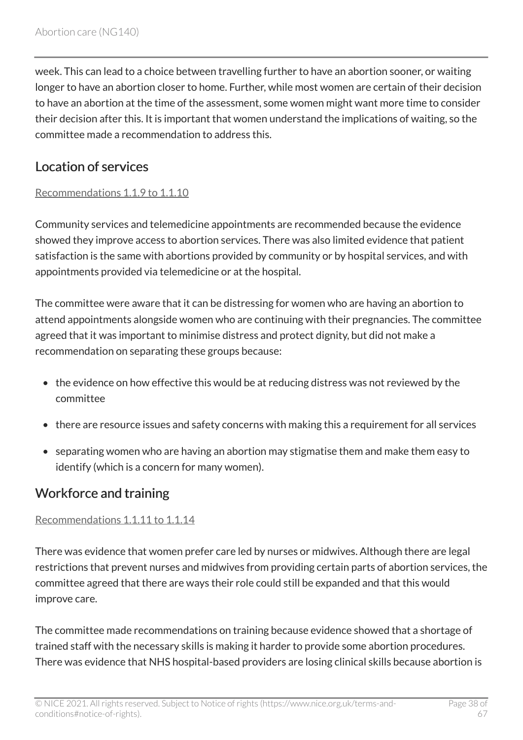week. This can lead to a choice between travelling further to have an abortion sooner, or waiting longer to have an abortion closer to home. Further, while most women are certain of their decision to have an abortion at the time of the assessment, some women might want more time to consider their decision after this. It is important that women understand the implications of waiting, so the committee made a recommendation to address this.

### Location of services

#### [Recommendations 1.1.9 to 1.1.10](#page-9-0)

Community services and telemedicine appointments are recommended because the evidence showed they improve access to abortion services. There was also limited evidence that patient satisfaction is the same with abortions provided by community or by hospital services, and with appointments provided via telemedicine or at the hospital.

The committee were aware that it can be distressing for women who are having an abortion to attend appointments alongside women who are continuing with their pregnancies. The committee agreed that it was important to minimise distress and protect dignity, but did not make a recommendation on separating these groups because:

- the evidence on how effective this would be at reducing distress was not reviewed by the committee
- there are resource issues and safety concerns with making this a requirement for all services
- separating women who are having an abortion may stigmatise them and make them easy to identify (which is a concern for many women).

### Workforce and training

#### [Recommendations 1.1.11 to 1.1.14](#page-9-1)

There was evidence that women prefer care led by nurses or midwives. Although there are legal restrictions that prevent nurses and midwives from providing certain parts of abortion services, the committee agreed that there are ways their role could still be expanded and that this would improve care.

The committee made recommendations on training because evidence showed that a shortage of trained staff with the necessary skills is making it harder to provide some abortion procedures. There was evidence that NHS hospital-based providers are losing clinical skills because abortion is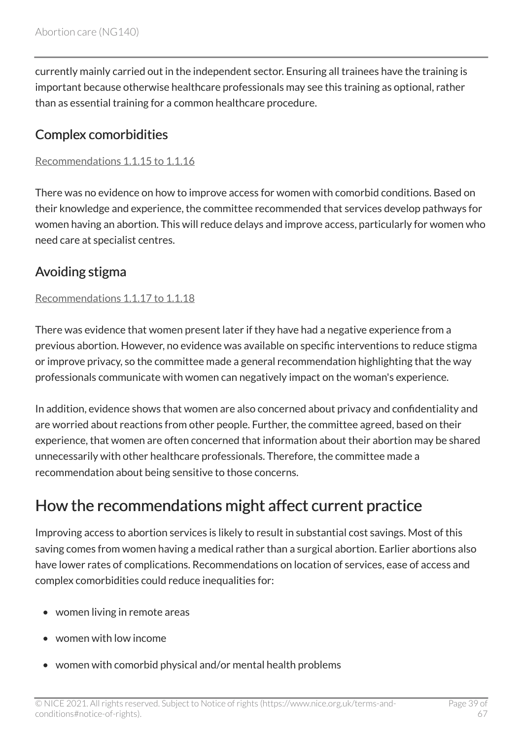currently mainly carried out in the independent sector. Ensuring all trainees have the training is important because otherwise healthcare professionals may see this training as optional, rather than as essential training for a common healthcare procedure.

#### Complex comorbidities

#### [Recommendations 1.1.15 to 1.1.16](#page-9-2)

There was no evidence on how to improve access for women with comorbid conditions. Based on their knowledge and experience, the committee recommended that services develop pathways for women having an abortion. This will reduce delays and improve access, particularly for women who need care at specialist centres.

### Avoiding stigma

#### [Recommendations 1.1.17 to 1.1.18](#page-10-1)

There was evidence that women present later if they have had a negative experience from a previous abortion. However, no evidence was available on specific interventions to reduce stigma or improve privacy, so the committee made a general recommendation highlighting that the way professionals communicate with women can negatively impact on the woman's experience.

In addition, evidence shows that women are also concerned about privacy and confidentiality and are worried about reactions from other people. Further, the committee agreed, based on their experience, that women are often concerned that information about their abortion may be shared unnecessarily with other healthcare professionals. Therefore, the committee made a recommendation about being sensitive to those concerns.

### How the recommendations might affect current practice

Improving access to abortion services is likely to result in substantial cost savings. Most of this saving comes from women having a medical rather than a surgical abortion. Earlier abortions also have lower rates of complications. Recommendations on location of services, ease of access and complex comorbidities could reduce inequalities for:

- women living in remote areas
- women with low income
- women with comorbid physical and/or mental health problems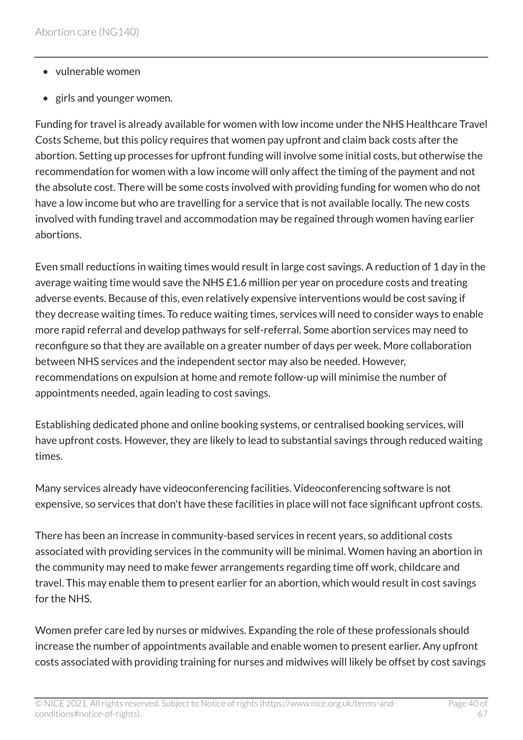- vulnerable women
- girls and younger women.

Funding for travel is already available for women with low income under the NHS Healthcare Travel Costs Scheme, but this policy requires that women pay upfront and claim back costs after the abortion. Setting up processes for upfront funding will involve some initial costs, but otherwise the recommendation for women with a low income will only affect the timing of the payment and not the absolute cost. There will be some costs involved with providing funding for women who do not have a low income but who are travelling for a service that is not available locally. The new costs involved with funding travel and accommodation may be regained through women having earlier abortions.

Even small reductions in waiting times would result in large cost savings. A reduction of 1 day in the average waiting time would save the NHS £1.6 million per year on procedure costs and treating adverse events. Because of this, even relatively expensive interventions would be cost saving if they decrease waiting times. To reduce waiting times, services will need to consider ways to enable more rapid referral and develop pathways for self-referral. Some abortion services may need to reconfigure so that they are available on a greater number of days per week. More collaboration between NHS services and the independent sector may also be needed. However, recommendations on expulsion at home and remote follow-up will minimise the number of appointments needed, again leading to cost savings.

Establishing dedicated phone and online booking systems, or centralised booking services, will have upfront costs. However, they are likely to lead to substantial savings through reduced waiting times.

Many services already have videoconferencing facilities. Videoconferencing software is not expensive, so services that don't have these facilities in place will not face significant upfront costs.

There has been an increase in community-based services in recent years, so additional costs associated with providing services in the community will be minimal. Women having an abortion in the community may need to make fewer arrangements regarding time off work, childcare and travel. This may enable them to present earlier for an abortion, which would result in cost savings for the NHS.

Women prefer care led by nurses or midwives. Expanding the role of these professionals should increase the number of appointments available and enable women to present earlier. Any upfront costs associated with providing training for nurses and midwives will likely be offset by cost savings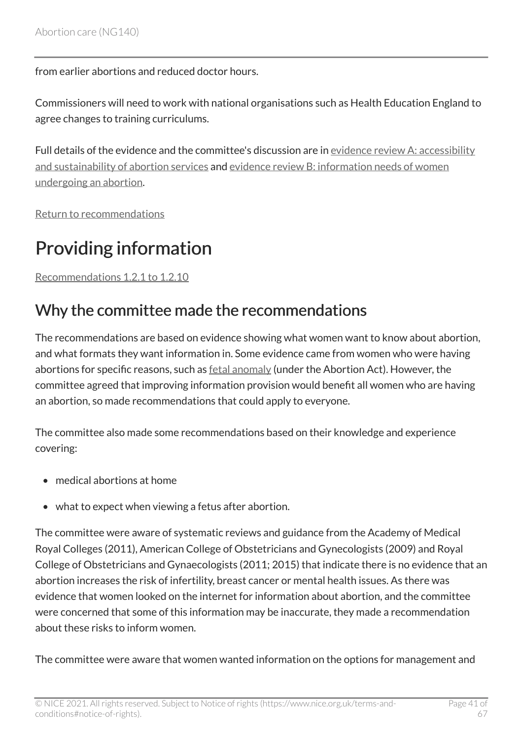from earlier abortions and reduced doctor hours.

Commissioners will need to work with national organisations such as Health Education England to agree changes to training curriculums.

Full details of the evidence and the committee's discussion are in [evidence review](https://www.nice.org.uk/guidance/ng140/evidence/a-accessibility-and-sustainability-of-abortion-services-pdf-6905052973) A: accessibility [and sustainability of abortion services](https://www.nice.org.uk/guidance/ng140/evidence/a-accessibility-and-sustainability-of-abortion-services-pdf-6905052973) and evidence review [B: information needs of women](https://www.nice.org.uk/guidance/ng140/evidence/b-information-needs-of-women-undergoing-an-abortion-pdf-6905052974) [undergoing an abortion](https://www.nice.org.uk/guidance/ng140/evidence/b-information-needs-of-women-undergoing-an-abortion-pdf-6905052974).

[Return to recommendations](#page-7-1)

# <span id="page-40-0"></span>Providing information

[Recommendations 1.2.1 to 1.2.10](#page-10-0) 

### Why the committee made the recommendations

The recommendations are based on evidence showing what women want to know about abortion, and what formats they want information in. Some evidence came from women who were having abortions for specific reasons, such as **fetal anomaly** (under the Abortion Act). However, the committee agreed that improving information provision would benefit all women who are having an abortion, so made recommendations that could apply to everyone.

The committee also made some recommendations based on their knowledge and experience covering:

- medical abortions at home
- what to expect when viewing a fetus after abortion.

The committee were aware of systematic reviews and guidance from the Academy of Medical Royal Colleges (2011), American College of Obstetricians and Gynecologists (2009) and Royal College of Obstetricians and Gynaecologists (2011; 2015) that indicate there is no evidence that an abortion increases the risk of infertility, breast cancer or mental health issues. As there was evidence that women looked on the internet for information about abortion, and the committee were concerned that some of this information may be inaccurate, they made a recommendation about these risks to inform women.

The committee were aware that women wanted information on the options for management and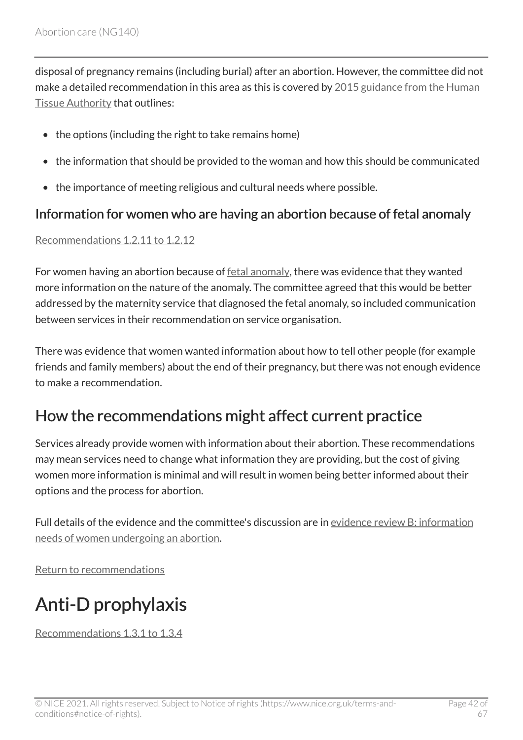disposal of pregnancy remains (including burial) after an abortion. However, the committee did not make a detailed recommendation in this area as this is covered by [2015 guidance from the Human](https://www.hta.gov.uk/policies/hta-guidance-sensitive-handling-pregnancy-remains) [Tissue Authority](https://www.hta.gov.uk/policies/hta-guidance-sensitive-handling-pregnancy-remains) that outlines:

- the options (including the right to take remains home)
- the information that should be provided to the woman and how this should be communicated
- the importance of meeting religious and cultural needs where possible.

#### Information for women who are having an abortion because of fetal anomaly

#### [Recommendations 1.2.11 to 1.2.12](#page-11-0)

For women having an abortion because of [fetal anomaly,](#page-31-1) there was evidence that they wanted more information on the nature of the anomaly. The committee agreed that this would be better addressed by the maternity service that diagnosed the fetal anomaly, so included communication between services in their recommendation on service organisation.

There was evidence that women wanted information about how to tell other people (for example friends and family members) about the end of their pregnancy, but there was not enough evidence to make a recommendation.

### How the recommendations might affect current practice

Services already provide women with information about their abortion. These recommendations may mean services need to change what information they are providing, but the cost of giving women more information is minimal and will result in women being better informed about their options and the process for abortion.

Full details of the evidence and the committee's discussion are in [evidence review](https://www.nice.org.uk/guidance/ng140/evidence/b-information-needs-of-women-undergoing-an-abortion-pdf-6905052974) B: information [needs of women undergoing an abortion.](https://www.nice.org.uk/guidance/ng140/evidence/b-information-needs-of-women-undergoing-an-abortion-pdf-6905052974)

[Return to recommendations](#page-10-0)

# <span id="page-41-0"></span>Anti-D prophylaxis

[Recommendations 1.3.1 to 1.3.4](#page-12-0)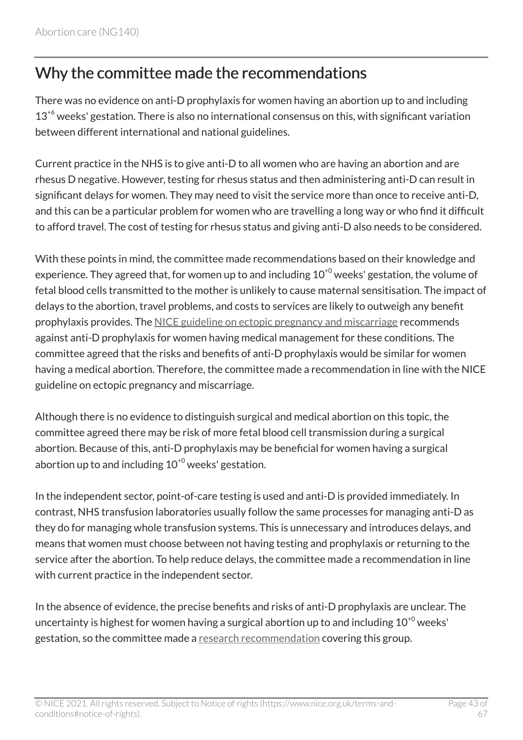### Why the committee made the recommendations

There was no evidence on anti-D prophylaxis for women having an abortion up to and including  $13<sup>46</sup>$  weeks' gestation. There is also no international consensus on this, with significant variation between different international and national guidelines.

Current practice in the NHS is to give anti-D to all women who are having an abortion and are rhesus D negative. However, testing for rhesus status and then administering anti-D can result in significant delays for women. They may need to visit the service more than once to receive anti-D, and this can be a particular problem for women who are travelling a long way or who find it difficult to afford travel. The cost of testing for rhesus status and giving anti-D also needs to be considered.

With these points in mind, the committee made recommendations based on their knowledge and experience. They agreed that, for women up to and including  $10^{+0}$  weeks' gestation, the volume of fetal blood cells transmitted to the mother is unlikely to cause maternal sensitisation. The impact of delays to the abortion, travel problems, and costs to services are likely to outweigh any benefit prophylaxis provides. The [NICE guideline on ectopic pregnancy and miscarriage](https://www.nice.org.uk/guidance/ng126) recommends against anti-D prophylaxis for women having medical management for these conditions. The committee agreed that the risks and benefits of anti-D prophylaxis would be similar for women having a medical abortion. Therefore, the committee made a recommendation in line with the NICE guideline on ectopic pregnancy and miscarriage.

Although there is no evidence to distinguish surgical and medical abortion on this topic, the committee agreed there may be risk of more fetal blood cell transmission during a surgical abortion. Because of this, anti-D prophylaxis may be beneficial for women having a surgical abortion up to and including  $10^{+0}$  weeks' gestation.

In the independent sector, point-of-care testing is used and anti-D is provided immediately. In contrast, NHS transfusion laboratories usually follow the same processes for managing anti-D as they do for managing whole transfusion systems. This is unnecessary and introduces delays, and means that women must choose between not having testing and prophylaxis or returning to the service after the abortion. To help reduce delays, the committee made a recommendation in line with current practice in the independent sector.

In the absence of evidence, the precise benefits and risks of anti-D prophylaxis are unclear. The uncertainty is highest for women having a surgical abortion up to and including  $10^{+0}$  weeks' gestation, so the committee made a [research recommendation](#page-32-0) covering this group.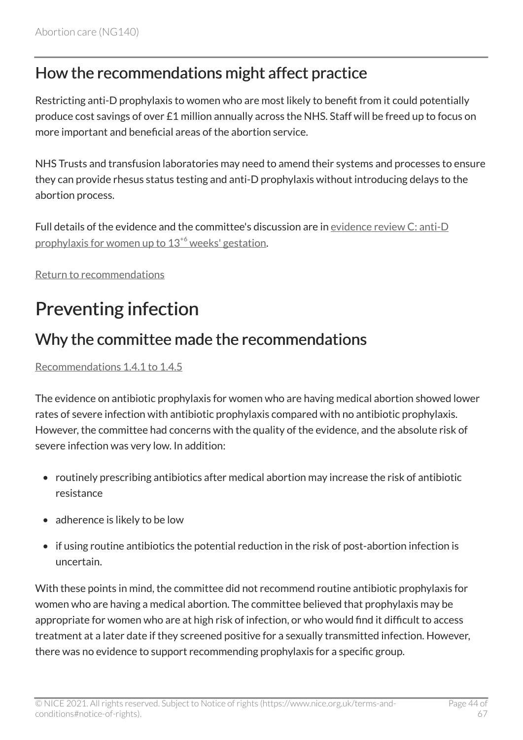### How the recommendations might affect practice

Restricting anti-D prophylaxis to women who are most likely to benefit from it could potentially produce cost savings of over £1 million annually across the NHS. Staff will be freed up to focus on more important and beneficial areas of the abortion service.

NHS Trusts and transfusion laboratories may need to amend their systems and processes to ensure they can provide rhesus status testing and anti-D prophylaxis without introducing delays to the abortion process.

Full details of the evidence and the committee's discussion are in [evidence review](https://www.nice.org.uk/guidance/ng140/evidence/c-antid-prophylaxis-for-women-up-to-136-weeks-gestation-pdf-6905052975) C: anti-D [prophylaxis for women up to 13](https://www.nice.org.uk/guidance/ng140/evidence/c-antid-prophylaxis-for-women-up-to-136-weeks-gestation-pdf-6905052975)<sup>[+6](https://www.nice.org.uk/guidance/ng140/evidence/c-antid-prophylaxis-for-women-up-to-136-weeks-gestation-pdf-6905052975)</sup> weeks' gestation.

[Return to recommendations](#page-12-0)

# <span id="page-43-0"></span>Preventing infection

### Why the committee made the recommendations

[Recommendations 1.4.1 to 1.4.5](#page-12-1) 

The evidence on antibiotic prophylaxis for women who are having medical abortion showed lower rates of severe infection with antibiotic prophylaxis compared with no antibiotic prophylaxis. However, the committee had concerns with the quality of the evidence, and the absolute risk of severe infection was very low. In addition:

- routinely prescribing antibiotics after medical abortion may increase the risk of antibiotic resistance
- adherence is likely to be low
- if using routine antibiotics the potential reduction in the risk of post-abortion infection is uncertain.

With these points in mind, the committee did not recommend routine antibiotic prophylaxis for women who are having a medical abortion. The committee believed that prophylaxis may be appropriate for women who are at high risk of infection, or who would find it difficult to access treatment at a later date if they screened positive for a sexually transmitted infection. However, there was no evidence to support recommending prophylaxis for a specific group.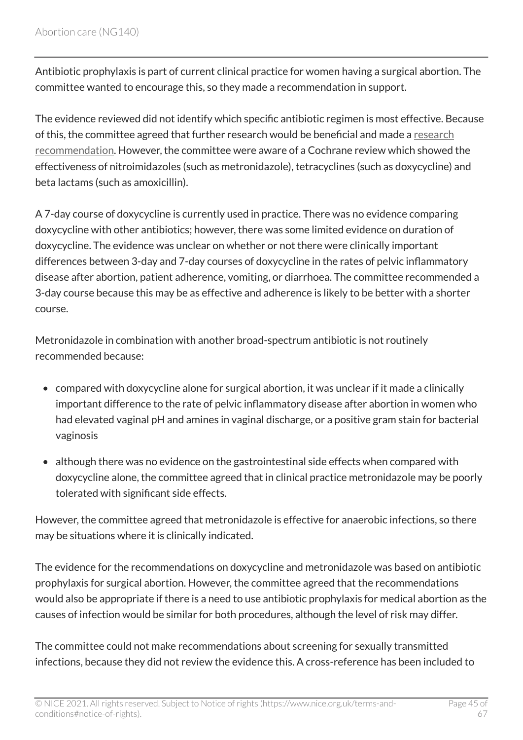Antibiotic prophylaxis is part of current clinical practice for women having a surgical abortion. The committee wanted to encourage this, so they made a recommendation in support.

The evidence reviewed did not identify which specific antibiotic regimen is most effective. Because of this, the committee agreed that further research would be beneficial and made a [research](#page-32-1) [recommendation.](#page-32-1) However, the committee were aware of a Cochrane review which showed the effectiveness of nitroimidazoles (such as metronidazole), tetracyclines (such as doxycycline) and beta lactams (such as amoxicillin).

A 7-day course of doxycycline is currently used in practice. There was no evidence comparing doxycycline with other antibiotics; however, there was some limited evidence on duration of doxycycline. The evidence was unclear on whether or not there were clinically important differences between 3-day and 7-day courses of doxycycline in the rates of pelvic inflammatory disease after abortion, patient adherence, vomiting, or diarrhoea. The committee recommended a 3-day course because this may be as effective and adherence is likely to be better with a shorter course.

Metronidazole in combination with another broad-spectrum antibiotic is not routinely recommended because:

- compared with doxycycline alone for surgical abortion, it was unclear if it made a clinically important difference to the rate of pelvic inflammatory disease after abortion in women who had elevated vaginal pH and amines in vaginal discharge, or a positive gram stain for bacterial vaginosis
- although there was no evidence on the gastrointestinal side effects when compared with doxycycline alone, the committee agreed that in clinical practice metronidazole may be poorly tolerated with significant side effects.

However, the committee agreed that metronidazole is effective for anaerobic infections, so there may be situations where it is clinically indicated.

The evidence for the recommendations on doxycycline and metronidazole was based on antibiotic prophylaxis for surgical abortion. However, the committee agreed that the recommendations would also be appropriate if there is a need to use antibiotic prophylaxis for medical abortion as the causes of infection would be similar for both procedures, although the level of risk may differ.

The committee could not make recommendations about screening for sexually transmitted infections, because they did not review the evidence this. A cross-reference has been included to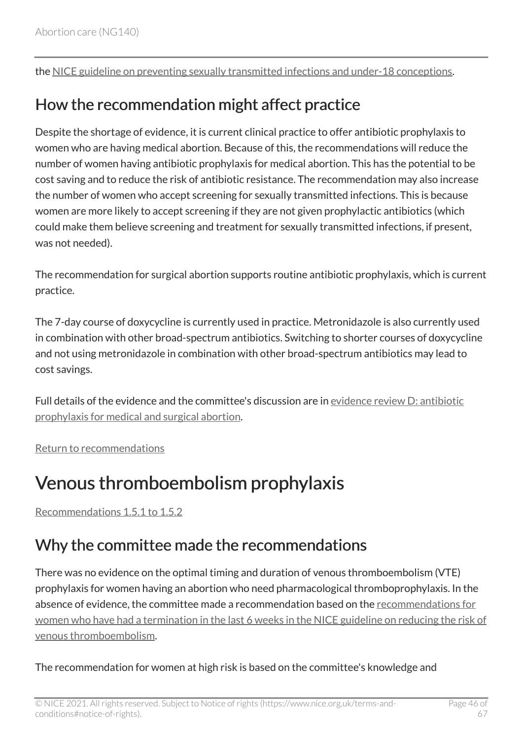the [NICE guideline on preventing sexually transmitted infections and under-18 conceptions.](https://www.nice.org.uk/guidance/ph3)

### How the recommendation might affect practice

Despite the shortage of evidence, it is current clinical practice to offer antibiotic prophylaxis to women who are having medical abortion. Because of this, the recommendations will reduce the number of women having antibiotic prophylaxis for medical abortion. This has the potential to be cost saving and to reduce the risk of antibiotic resistance. The recommendation may also increase the number of women who accept screening for sexually transmitted infections. This is because women are more likely to accept screening if they are not given prophylactic antibiotics (which could make them believe screening and treatment for sexually transmitted infections, if present, was not needed).

The recommendation for surgical abortion supports routine antibiotic prophylaxis, which is current practice.

The 7-day course of doxycycline is currently used in practice. Metronidazole is also currently used in combination with other broad-spectrum antibiotics. Switching to shorter courses of doxycycline and not using metronidazole in combination with other broad-spectrum antibiotics may lead to cost savings.

Full details of the evidence and the committee's discussion are in [evidence review](https://www.nice.org.uk/guidance/ng140/evidence/d-antibiotic-prophylaxis-for-medical-and-surgical-abortion-pdf-6905052976) D: antibiotic [prophylaxis for medical and surgical abortion](https://www.nice.org.uk/guidance/ng140/evidence/d-antibiotic-prophylaxis-for-medical-and-surgical-abortion-pdf-6905052976).

[Return to recommendations](#page-12-1)

## <span id="page-45-0"></span>Venous thromboembolism prophylaxis

[Recommendations 1.5.1 to 1.5.2](#page-13-0) 

### Why the committee made the recommendations

There was no evidence on the optimal timing and duration of venous thromboembolism (VTE) prophylaxis for women having an abortion who need pharmacological thromboprophylaxis. In the absence of evidence, the committee made a recommendation based on the [recommendations for](http://www.nice.org.uk/guidance/ng89/chapter/Recommendations#interventions-for-pregnant-women-and-women-who-gave-birth-or-had-a-miscarriage-or-termination-of)  [women who have had a termination in the last 6 weeks in the NICE guideline on reducing the risk of](http://www.nice.org.uk/guidance/ng89/chapter/Recommendations#interventions-for-pregnant-women-and-women-who-gave-birth-or-had-a-miscarriage-or-termination-of) [venous thromboembolism](http://www.nice.org.uk/guidance/ng89/chapter/Recommendations#interventions-for-pregnant-women-and-women-who-gave-birth-or-had-a-miscarriage-or-termination-of).

The recommendation for women at high risk is based on the committee's knowledge and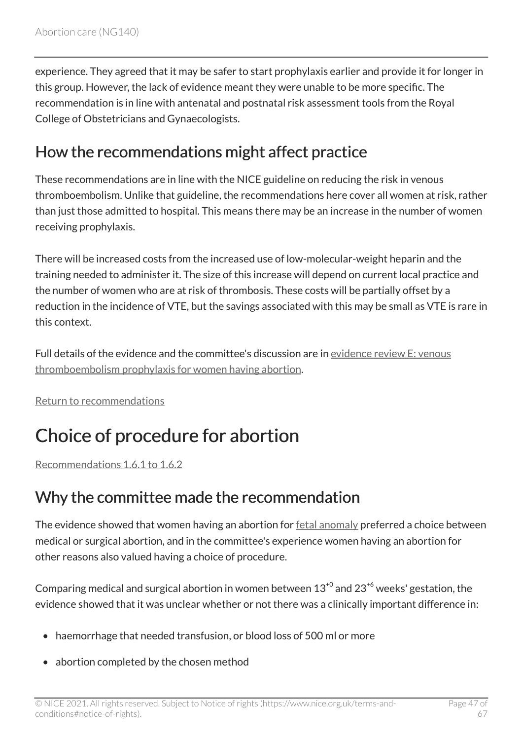experience. They agreed that it may be safer to start prophylaxis earlier and provide it for longer in this group. However, the lack of evidence meant they were unable to be more specific. The recommendation is in line with antenatal and postnatal risk assessment tools from the Royal College of Obstetricians and Gynaecologists.

### How the recommendations might affect practice

These recommendations are in line with the NICE guideline on reducing the risk in venous thromboembolism. Unlike that guideline, the recommendations here cover all women at risk, rather than just those admitted to hospital. This means there may be an increase in the number of women receiving prophylaxis.

There will be increased costs from the increased use of low-molecular-weight heparin and the training needed to administer it. The size of this increase will depend on current local practice and the number of women who are at risk of thrombosis. These costs will be partially offset by a reduction in the incidence of VTE, but the savings associated with this may be small as VTE is rare in this context.

Full details of the evidence and the committee's discussion are in [evidence review](https://www.nice.org.uk/guidance/ng140/evidence/e-vte-prophylaxis-for-women-having-abortion-pdf-6905052977) E: venous [thromboembolism prophylaxis for women having abortion](https://www.nice.org.uk/guidance/ng140/evidence/e-vte-prophylaxis-for-women-having-abortion-pdf-6905052977).

[Return to recommendations](#page-13-0)

# <span id="page-46-0"></span>Choice of procedure for abortion

[Recommendations 1.6.1 to 1.6.2](#page-14-0) 

## Why the committee made the recommendation

The evidence showed that women having an abortion for [fetal anomaly](#page-31-1) preferred a choice between medical or surgical abortion, and in the committee's experience women having an abortion for other reasons also valued having a choice of procedure.

Comparing medical and surgical abortion in women between  $13^{+0}$  and  $23^{+6}$  weeks' gestation, the evidence showed that it was unclear whether or not there was a clinically important difference in:

- haemorrhage that needed transfusion, or blood loss of 500 ml or more
- abortion completed by the chosen method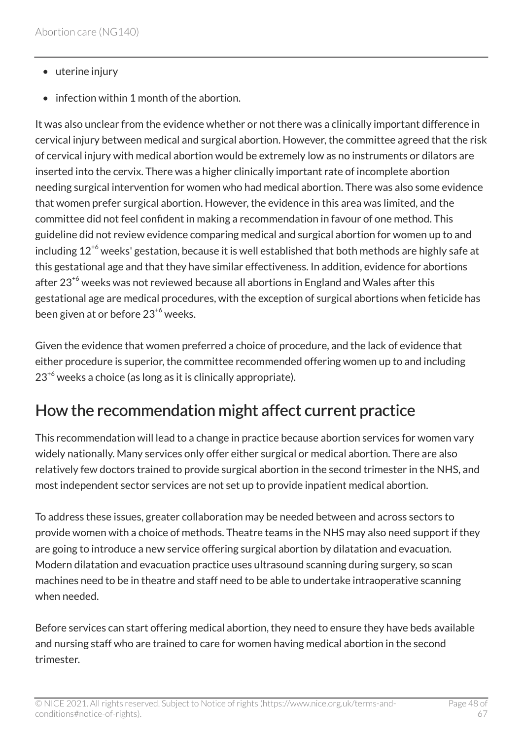- uterine injury
- infection within 1 month of the abortion.

It was also unclear from the evidence whether or not there was a clinically important difference in cervical injury between medical and surgical abortion. However, the committee agreed that the risk of cervical injury with medical abortion would be extremely low as no instruments or dilators are inserted into the cervix. There was a higher clinically important rate of incomplete abortion needing surgical intervention for women who had medical abortion. There was also some evidence that women prefer surgical abortion. However, the evidence in this area was limited, and the committee did not feel confident in making a recommendation in favour of one method. This guideline did not review evidence comparing medical and surgical abortion for women up to and including  $12^{+6}$  weeks' gestation, because it is well established that both methods are highly safe at this gestational age and that they have similar effectiveness. In addition, evidence for abortions after  $23^{6}$  weeks was not reviewed because all abortions in England and Wales after this gestational age are medical procedures, with the exception of surgical abortions when feticide has been given at or before 23<sup>+6</sup> weeks.

Given the evidence that women preferred a choice of procedure, and the lack of evidence that either procedure is superior, the committee recommended offering women up to and including  $23<sup>+6</sup>$  weeks a choice (as long as it is clinically appropriate).

### How the recommendation might affect current practice

This recommendation will lead to a change in practice because abortion services for women vary widely nationally. Many services only offer either surgical or medical abortion. There are also relatively few doctors trained to provide surgical abortion in the second trimester in the NHS, and most independent sector services are not set up to provide inpatient medical abortion.

To address these issues, greater collaboration may be needed between and across sectors to provide women with a choice of methods. Theatre teams in the NHS may also need support if they are going to introduce a new service offering surgical abortion by dilatation and evacuation. Modern dilatation and evacuation practice uses ultrasound scanning during surgery, so scan machines need to be in theatre and staff need to be able to undertake intraoperative scanning when needed.

Before services can start offering medical abortion, they need to ensure they have beds available and nursing staff who are trained to care for women having medical abortion in the second trimester.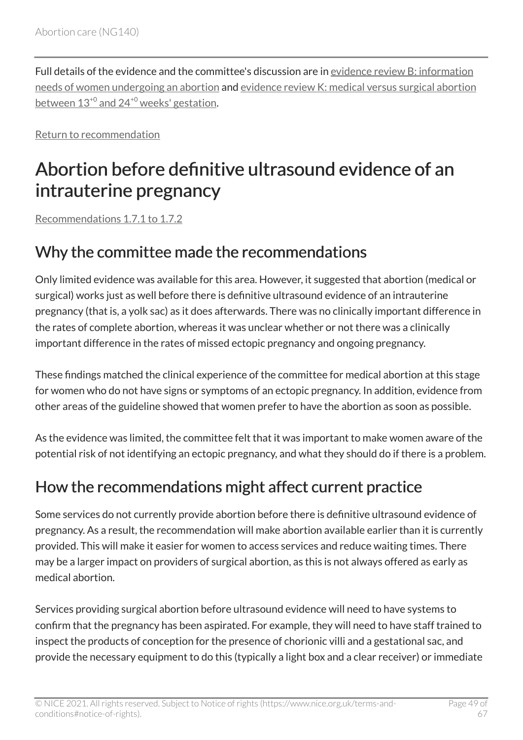Full details of the evidence and the committee's discussion are in [evidence review](https://www.nice.org.uk/guidance/ng140/evidence/b-information-needs-of-women-undergoing-an-abortion-pdf-6905052974) B: information [needs of women undergoing an abortion](https://www.nice.org.uk/guidance/ng140/evidence/b-information-needs-of-women-undergoing-an-abortion-pdf-6905052974) and evidence review [K: medical versus surgical abortion](https://www.nice.org.uk/guidance/ng140/evidence/k-medical-versus-surgical-abortion-between-130-and-240-weeks-gestation-pdf-248581907029) between  $13^{+0}$  $13^{+0}$  $13^{+0}$  and  $24^{+0}$  [weeks' gestation.](https://www.nice.org.uk/guidance/ng140/evidence/k-medical-versus-surgical-abortion-between-130-and-240-weeks-gestation-pdf-248581907029)

[Return to recommendation](#page-14-0)

# <span id="page-48-0"></span>Abortion before definitive ultrasound evidence of an intrauterine pregnancy

[Recommendations 1.7.1 to 1.7.2](#page-14-1) 

### Why the committee made the recommendations

Only limited evidence was available for this area. However, it suggested that abortion (medical or surgical) works just as well before there is definitive ultrasound evidence of an intrauterine pregnancy (that is, a yolk sac) as it does afterwards. There was no clinically important difference in the rates of complete abortion, whereas it was unclear whether or not there was a clinically important difference in the rates of missed ectopic pregnancy and ongoing pregnancy.

These findings matched the clinical experience of the committee for medical abortion at this stage for women who do not have signs or symptoms of an ectopic pregnancy. In addition, evidence from other areas of the guideline showed that women prefer to have the abortion as soon as possible.

As the evidence was limited, the committee felt that it was important to make women aware of the potential risk of not identifying an ectopic pregnancy, and what they should do if there is a problem.

## How the recommendations might affect current practice

Some services do not currently provide abortion before there is definitive ultrasound evidence of pregnancy. As a result, the recommendation will make abortion available earlier than it is currently provided. This will make it easier for women to access services and reduce waiting times. There may be a larger impact on providers of surgical abortion, as this is not always offered as early as medical abortion.

Services providing surgical abortion before ultrasound evidence will need to have systems to confirm that the pregnancy has been aspirated. For example, they will need to have staff trained to inspect the products of conception for the presence of chorionic villi and a gestational sac, and provide the necessary equipment to do this (typically a light box and a clear receiver) or immediate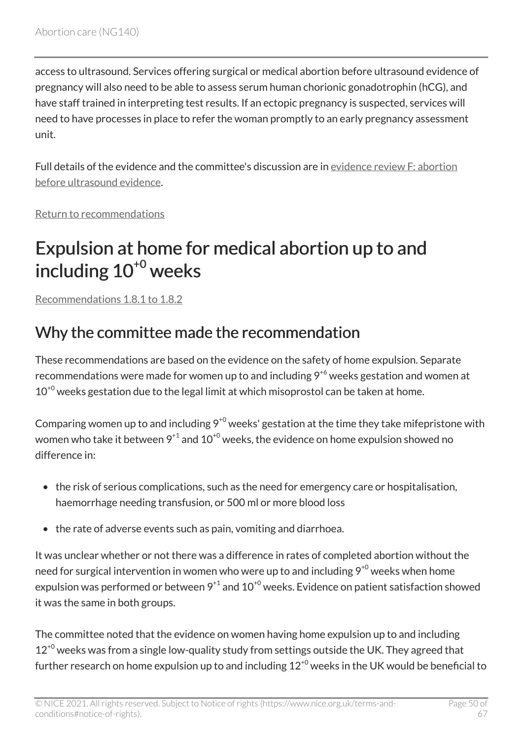access to ultrasound. Services offering surgical or medical abortion before ultrasound evidence of pregnancy will also need to be able to assess serum human chorionic gonadotrophin (hCG), and have staff trained in interpreting test results. If an ectopic pregnancy is suspected, services will need to have processes in place to refer the woman promptly to an early pregnancy assessment unit.

Full details of the evidence and the committee's discussion are in [evidence review](https://www.nice.org.uk/guidance/ng140/evidence/f-abortion-before-ultrasound-evidence-pdf-6905052978) F: abortion [before ultrasound evidence](https://www.nice.org.uk/guidance/ng140/evidence/f-abortion-before-ultrasound-evidence-pdf-6905052978).

[Return to recommendations](#page-14-1)

# <span id="page-49-0"></span>Expulsion at home for medical abortion up to and including  $10^{+0}$  weeks

[Recommendations 1.8.1 to 1.8.2](#page-15-0) 

## Why the committee made the recommendation

These recommendations are based on the evidence on the safety of home expulsion. Separate recommendations were made for women up to and including  $9^{+6}$  weeks gestation and women at  $10^{+0}$  weeks gestation due to the legal limit at which misoprostol can be taken at home.

Comparing women up to and including  $9^{+0}$  weeks' gestation at the time they take mifepristone with women who take it between  $9^{+1}$  and  $10^{+0}$  weeks, the evidence on home expulsion showed no difference in:

- the risk of serious complications, such as the need for emergency care or hospitalisation, haemorrhage needing transfusion, or 500 ml or more blood loss
- the rate of adverse events such as pain, vomiting and diarrhoea.

It was unclear whether or not there was a difference in rates of completed abortion without the need for surgical intervention in women who were up to and including  $9^{+0}$  weeks when home expulsion was performed or between  $9^{+1}$  and  $10^{+0}$  weeks. Evidence on patient satisfaction showed it was the same in both groups.

The committee noted that the evidence on women having home expulsion up to and including  $12^{+0}$  weeks was from a single low-quality study from settings outside the UK. They agreed that further research on home expulsion up to and including  $12^{+0}$  weeks in the UK would be beneficial to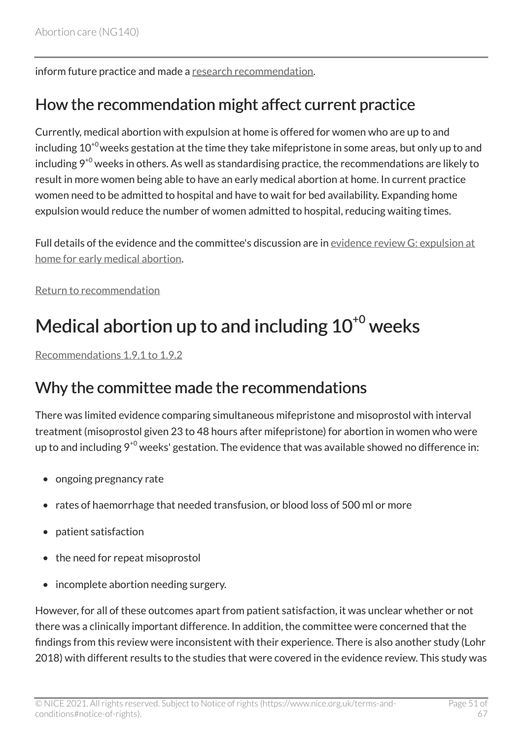inform future practice and made a [research recommendation.](#page-32-1)

### How the recommendation might affect current practice

Currently, medical abortion with expulsion at home is offered for women who are up to and including  $10^{+0}$  weeks gestation at the time they take mifepristone in some areas, but only up to and including  $9^{+0}$  weeks in others. As well as standardising practice, the recommendations are likely to result in more women being able to have an early medical abortion at home. In current practice women need to be admitted to hospital and have to wait for bed availability. Expanding home expulsion would reduce the number of women admitted to hospital, reducing waiting times.

Full details of the evidence and the committee's discussion are in [evidence review](https://www.nice.org.uk/guidance/ng140/evidence/g-expulsion-at-home-for-early-medical-abortion-pdf-6905052979) G: expulsion at [home for early medical abortion.](https://www.nice.org.uk/guidance/ng140/evidence/g-expulsion-at-home-for-early-medical-abortion-pdf-6905052979)

[Return to recommendation](#page-15-0)

# <span id="page-50-0"></span>Medical abortion up to and including  $10^{+0}$  weeks

[Recommendations 1.9.1 to 1.9.2](#page-16-0) 

### Why the committee made the recommendations

There was limited evidence comparing simultaneous mifepristone and misoprostol with interval treatment (misoprostol given 23 to 48 hours after mifepristone) for abortion in women who were up to and including  $9^{+0}$  weeks' gestation. The evidence that was available showed no difference in:

- ongoing pregnancy rate
- rates of haemorrhage that needed transfusion, or blood loss of 500 ml or more
- patient satisfaction
- the need for repeat misoprostol
- incomplete abortion needing surgery.

However, for all of these outcomes apart from patient satisfaction, it was unclear whether or not there was a clinically important difference. In addition, the committee were concerned that the findings from this review were inconsistent with their experience. There is also another study (Lohr 2018) with different results to the studies that were covered in the evidence review. This study was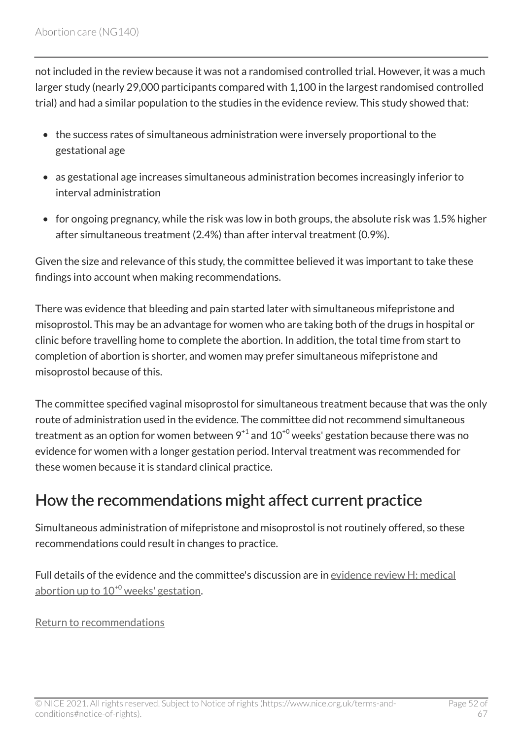not included in the review because it was not a randomised controlled trial. However, it was a much larger study (nearly 29,000 participants compared with 1,100 in the largest randomised controlled trial) and had a similar population to the studies in the evidence review. This study showed that:

- the success rates of simultaneous administration were inversely proportional to the gestational age
- as gestational age increases simultaneous administration becomes increasingly inferior to interval administration
- for ongoing pregnancy, while the risk was low in both groups, the absolute risk was 1.5% higher after simultaneous treatment (2.4%) than after interval treatment (0.9%).

Given the size and relevance of this study, the committee believed it was important to take these findings into account when making recommendations.

There was evidence that bleeding and pain started later with simultaneous mifepristone and misoprostol. This may be an advantage for women who are taking both of the drugs in hospital or clinic before travelling home to complete the abortion. In addition, the total time from start to completion of abortion is shorter, and women may prefer simultaneous mifepristone and misoprostol because of this.

The committee specified vaginal misoprostol for simultaneous treatment because that was the only route of administration used in the evidence. The committee did not recommend simultaneous treatment as an option for women between  $9^{+1}$  and  $10^{+0}$  weeks' gestation because there was no evidence for women with a longer gestation period. Interval treatment was recommended for these women because it is standard clinical practice.

### How the recommendations might affect current practice

Simultaneous administration of mifepristone and misoprostol is not routinely offered, so these recommendations could result in changes to practice.

Full details of the evidence and the committee's discussion are in [evidence review](https://www.nice.org.uk/guidance/ng140/evidence/h-simultaneous-versus-delayed-mifepristone-misoprostol-administration-for-medical-abortion-up-to-100-weeks-gestation-pdf-6905052980) H: medical abortion up to  $10^{+0}$  $10^{+0}$  $10^{+0}$  weeks' gestation.

[Return to recommendations](#page-16-0)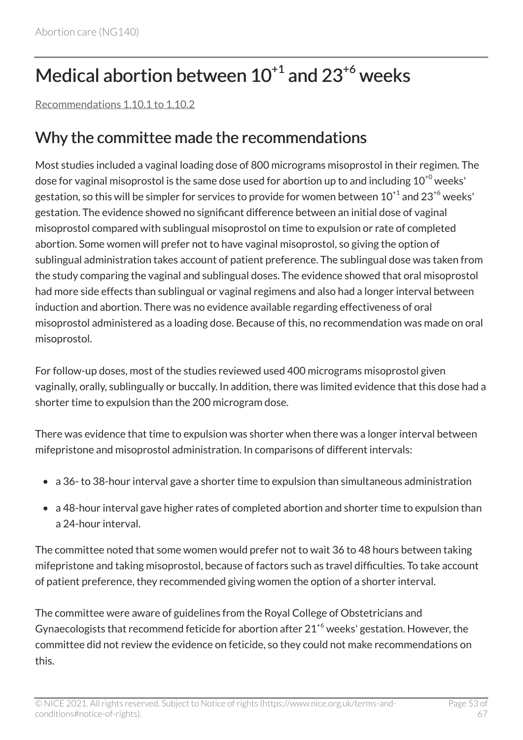# <span id="page-52-0"></span>Medical abortion between  $10^{+1}$  and  $23^{+6}$  weeks

[Recommendations 1.10.1 to 1.10.2](#page-19-0) 

### Why the committee made the recommendations

Most studies included a vaginal loading dose of 800 micrograms misoprostol in their regimen. The dose for vaginal misoprostol is the same dose used for abortion up to and including  $10^{+0}$  weeks' gestation, so this will be simpler for services to provide for women between  $10^{+1}$  and  $23^{+6}$  weeks' gestation. The evidence showed no significant difference between an initial dose of vaginal misoprostol compared with sublingual misoprostol on time to expulsion or rate of completed abortion. Some women will prefer not to have vaginal misoprostol, so giving the option of sublingual administration takes account of patient preference. The sublingual dose was taken from the study comparing the vaginal and sublingual doses. The evidence showed that oral misoprostol had more side effects than sublingual or vaginal regimens and also had a longer interval between induction and abortion. There was no evidence available regarding effectiveness of oral misoprostol administered as a loading dose. Because of this, no recommendation was made on oral misoprostol.

For follow-up doses, most of the studies reviewed used 400 micrograms misoprostol given vaginally, orally, sublingually or buccally. In addition, there was limited evidence that this dose had a shorter time to expulsion than the 200 microgram dose.

There was evidence that time to expulsion was shorter when there was a longer interval between mifepristone and misoprostol administration. In comparisons of different intervals:

- a 36- to 38-hour interval gave a shorter time to expulsion than simultaneous administration
- a 48-hour interval gave higher rates of completed abortion and shorter time to expulsion than a 24-hour interval.

The committee noted that some women would prefer not to wait 36 to 48 hours between taking mifepristone and taking misoprostol, because of factors such as travel difficulties. To take account of patient preference, they recommended giving women the option of a shorter interval.

The committee were aware of guidelines from the Royal College of Obstetricians and Gynaecologists that recommend feticide for abortion after  $21^{+6}$  weeks' gestation. However, the committee did not review the evidence on feticide, so they could not make recommendations on this.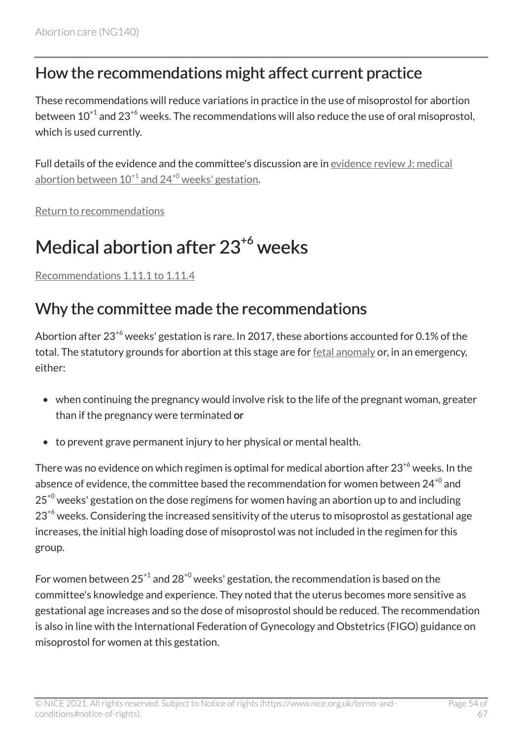### How the recommendations might affect current practice

These recommendations will reduce variations in practice in the use of misoprostol for abortion between  $10^{+1}$  and  $23^{+6}$  weeks. The recommendations will also reduce the use of oral misoprostol, which is used currently.

Full details of the evidence and the committee's discussion are in [evidence review](https://www.nice.org.uk/guidance/ng140/evidence/j-misoprostol-after-mifepristone-for-inducing-medical-abortion-between-101-and-240-weeks-gestation-pdf-248581907028) J: medical abortion between  $10^{+1}$  $10^{+1}$  $10^{+1}$  and  $24^{+0}$  $24^{+0}$  $24^{+0}$  weeks' gestation.

[Return to recommendations](#page-19-0)

# <span id="page-53-0"></span>Medical abortion after 23<sup>+6</sup> weeks

[Recommendations 1.11.1 to 1.11.4](#page-22-0) 

### Why the committee made the recommendations

Abortion after  $23^{6}$  weeks' gestation is rare. In 2017, these abortions accounted for 0.1% of the total. The statutory grounds for abortion at this stage are for [fetal anomaly](#page-31-1) or, in an emergency, either:

- when continuing the pregnancy would involve risk to the life of the pregnant woman, greater than if the pregnancy were terminated or
- to prevent grave permanent injury to her physical or mental health.

There was no evidence on which regimen is optimal for medical abortion after  $23^{+6}$  weeks. In the absence of evidence, the committee based the recommendation for women between  $24^{+0}$  and  $25<sup>+0</sup>$  weeks' gestation on the dose regimens for women having an abortion up to and including  $23<sup>+6</sup>$  weeks. Considering the increased sensitivity of the uterus to misoprostol as gestational age increases, the initial high loading dose of misoprostol was not included in the regimen for this group.

For women between  $25^{+1}$  and  $28^{+0}$  weeks' gestation, the recommendation is based on the committee's knowledge and experience. They noted that the uterus becomes more sensitive as gestational age increases and so the dose of misoprostol should be reduced. The recommendation is also in line with the International Federation of Gynecology and Obstetrics (FIGO) guidance on misoprostol for women at this gestation.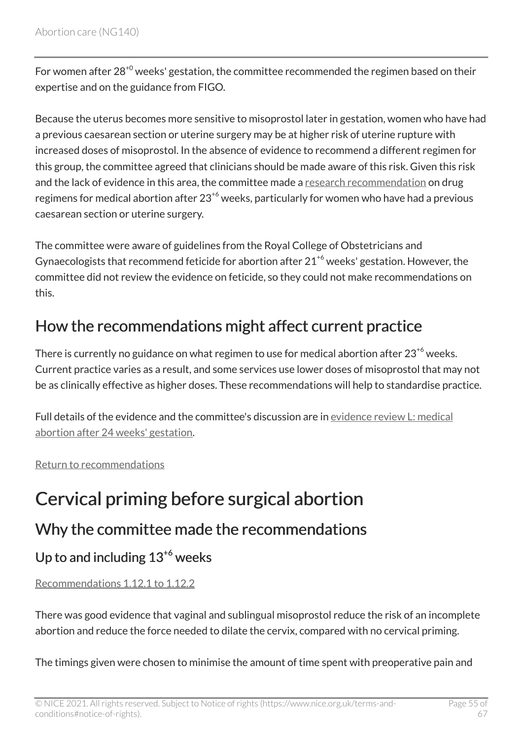For women after  $28^{+0}$  weeks' gestation, the committee recommended the regimen based on their expertise and on the guidance from FIGO.

Because the uterus becomes more sensitive to misoprostol later in gestation, women who have had a previous caesarean section or uterine surgery may be at higher risk of uterine rupture with increased doses of misoprostol. In the absence of evidence to recommend a different regimen for this group, the committee agreed that clinicians should be made aware of this risk. Given this risk and the lack of evidence in this area, the committee made a [research recommendation](#page-33-0) on drug regimens for medical abortion after  $23^{+6}$  weeks, particularly for women who have had a previous caesarean section or uterine surgery.

The committee were aware of guidelines from the Royal College of Obstetricians and Gynaecologists that recommend feticide for abortion after  $21^{+6}$  weeks' gestation. However, the committee did not review the evidence on feticide, so they could not make recommendations on this.

## How the recommendations might affect current practice

There is currently no guidance on what regimen to use for medical abortion after  $23^{46}$  weeks. Current practice varies as a result, and some services use lower doses of misoprostol that may not be as clinically effective as higher doses. These recommendations will help to standardise practice.

Full details of the evidence and the committee's discussion are in [evidence review](https://www.nice.org.uk/guidance/ng140/evidence/l-medical-abortion-after-24-weeks-gestation-pdf-248581907030) L: medical [abortion after 24 weeks' gestation](https://www.nice.org.uk/guidance/ng140/evidence/l-medical-abortion-after-24-weeks-gestation-pdf-248581907030).

#### [Return to recommendations](#page-22-0)

# <span id="page-54-0"></span>Cervical priming before surgical abortion

### Why the committee made the recommendations

### Up to and including  $13^{+6}$  weeks

#### [Recommendations 1.12.1 to 1.12.2](#page-26-0)

There was good evidence that vaginal and sublingual misoprostol reduce the risk of an incomplete abortion and reduce the force needed to dilate the cervix, compared with no cervical priming.

The timings given were chosen to minimise the amount of time spent with preoperative pain and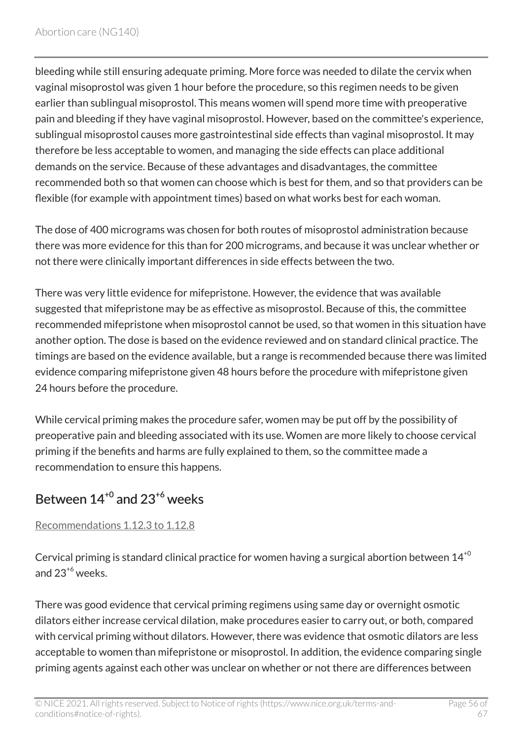bleeding while still ensuring adequate priming. More force was needed to dilate the cervix when vaginal misoprostol was given 1 hour before the procedure, so this regimen needs to be given earlier than sublingual misoprostol. This means women will spend more time with preoperative pain and bleeding if they have vaginal misoprostol. However, based on the committee's experience, sublingual misoprostol causes more gastrointestinal side effects than vaginal misoprostol. It may therefore be less acceptable to women, and managing the side effects can place additional demands on the service. Because of these advantages and disadvantages, the committee recommended both so that women can choose which is best for them, and so that providers can be flexible (for example with appointment times) based on what works best for each woman.

The dose of 400 micrograms was chosen for both routes of misoprostol administration because there was more evidence for this than for 200 micrograms, and because it was unclear whether or not there were clinically important differences in side effects between the two.

There was very little evidence for mifepristone. However, the evidence that was available suggested that mifepristone may be as effective as misoprostol. Because of this, the committee recommended mifepristone when misoprostol cannot be used, so that women in this situation have another option. The dose is based on the evidence reviewed and on standard clinical practice. The timings are based on the evidence available, but a range is recommended because there was limited evidence comparing mifepristone given 48 hours before the procedure with mifepristone given 24 hours before the procedure.

While cervical priming makes the procedure safer, women may be put off by the possibility of preoperative pain and bleeding associated with its use. Women are more likely to choose cervical priming if the benefits and harms are fully explained to them, so the committee made a recommendation to ensure this happens.

### <span id="page-55-0"></span>Between  $14^{+0}$  and  $23^{+6}$  weeks

#### [Recommendations 1.12.3 to 1.12.8](#page-27-0)

Cervical priming is standard clinical practice for women having a surgical abortion between  $14^{+0}$ and  $23^{+6}$  weeks.

There was good evidence that cervical priming regimens using same day or overnight osmotic dilators either increase cervical dilation, make procedures easier to carry out, or both, compared with cervical priming without dilators. However, there was evidence that osmotic dilators are less acceptable to women than mifepristone or misoprostol. In addition, the evidence comparing single priming agents against each other was unclear on whether or not there are differences between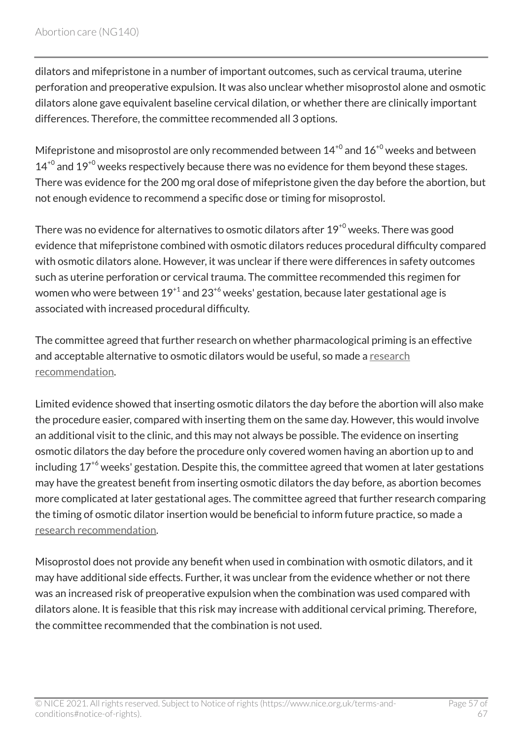dilators and mifepristone in a number of important outcomes, such as cervical trauma, uterine perforation and preoperative expulsion. It was also unclear whether misoprostol alone and osmotic dilators alone gave equivalent baseline cervical dilation, or whether there are clinically important differences. Therefore, the committee recommended all 3 options.

Mifepristone and misoprostol are only recommended between  $14^{+0}$  and  $16^{+0}$  weeks and between  $14^{+0}$  and  $19^{+0}$  weeks respectively because there was no evidence for them beyond these stages. There was evidence for the 200 mg oral dose of mifepristone given the day before the abortion, but not enough evidence to recommend a specific dose or timing for misoprostol.

There was no evidence for alternatives to osmotic dilators after  $19^{+0}$  weeks. There was good evidence that mifepristone combined with osmotic dilators reduces procedural difficulty compared with osmotic dilators alone. However, it was unclear if there were differences in safety outcomes such as uterine perforation or cervical trauma. The committee recommended this regimen for women who were between  $19^{+1}$  and  $23^{+6}$  weeks' gestation, because later gestational age is associated with increased procedural difficulty.

The committee agreed that further research on whether pharmacological priming is an effective and acceptable alternative to osmotic dilators would be useful, so made a [research](#page-32-1)  [recommendation.](#page-32-1)

Limited evidence showed that inserting osmotic dilators the day before the abortion will also make the procedure easier, compared with inserting them on the same day. However, this would involve an additional visit to the clinic, and this may not always be possible. The evidence on inserting osmotic dilators the day before the procedure only covered women having an abortion up to and including  $17^{+6}$  weeks' gestation. Despite this, the committee agreed that women at later gestations may have the greatest benefit from inserting osmotic dilators the day before, as abortion becomes more complicated at later gestational ages. The committee agreed that further research comparing the timing of osmotic dilator insertion would be beneficial to inform future practice, so made a [research recommendation.](#page-32-1)

Misoprostol does not provide any benefit when used in combination with osmotic dilators, and it may have additional side effects. Further, it was unclear from the evidence whether or not there was an increased risk of preoperative expulsion when the combination was used compared with dilators alone. It is feasible that this risk may increase with additional cervical priming. Therefore, the committee recommended that the combination is not used.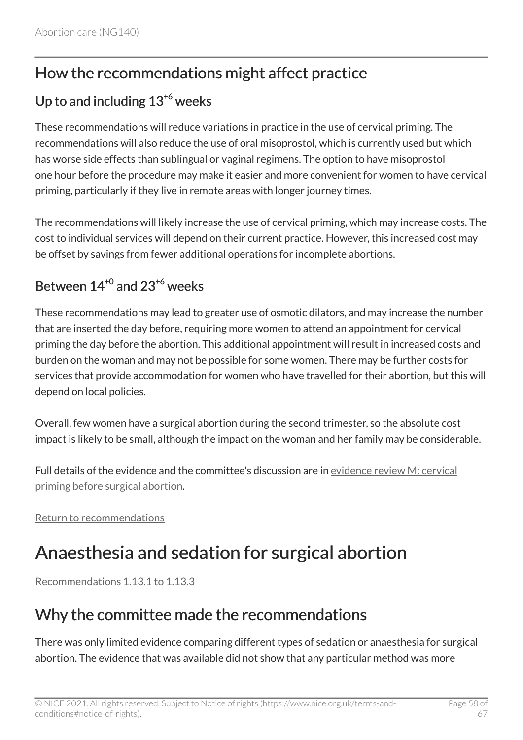### How the recommendations might affect practice

### Up to and including  $13^{+6}$  weeks

These recommendations will reduce variations in practice in the use of cervical priming. The recommendations will also reduce the use of oral misoprostol, which is currently used but which has worse side effects than sublingual or vaginal regimens. The option to have misoprostol one hour before the procedure may make it easier and more convenient for women to have cervical priming, particularly if they live in remote areas with longer journey times.

The recommendations will likely increase the use of cervical priming, which may increase costs. The cost to individual services will depend on their current practice. However, this increased cost may be offset by savings from fewer additional operations for incomplete abortions.

### Between  $14^{+0}$  and  $23^{+6}$  weeks

These recommendations may lead to greater use of osmotic dilators, and may increase the number that are inserted the day before, requiring more women to attend an appointment for cervical priming the day before the abortion. This additional appointment will result in increased costs and burden on the woman and may not be possible for some women. There may be further costs for services that provide accommodation for women who have travelled for their abortion, but this will depend on local policies.

Overall, few women have a surgical abortion during the second trimester, so the absolute cost impact is likely to be small, although the impact on the woman and her family may be considerable.

Full details of the evidence and the committee's discussion are in [evidence review](https://www.nice.org.uk/guidance/ng140/evidence/m-cervical-priming-before-surgical-abortion-pdf-248581907031) M: cervical [priming before surgical abortion.](https://www.nice.org.uk/guidance/ng140/evidence/m-cervical-priming-before-surgical-abortion-pdf-248581907031)

[Return to recommendations](#page-25-0)

# <span id="page-57-0"></span>Anaesthesia and sedation for surgical abortion

[Recommendations 1.13.1 to 1.13.3](#page-28-0) 

### Why the committee made the recommendations

There was only limited evidence comparing different types of sedation or anaesthesia for surgical abortion. The evidence that was available did not show that any particular method was more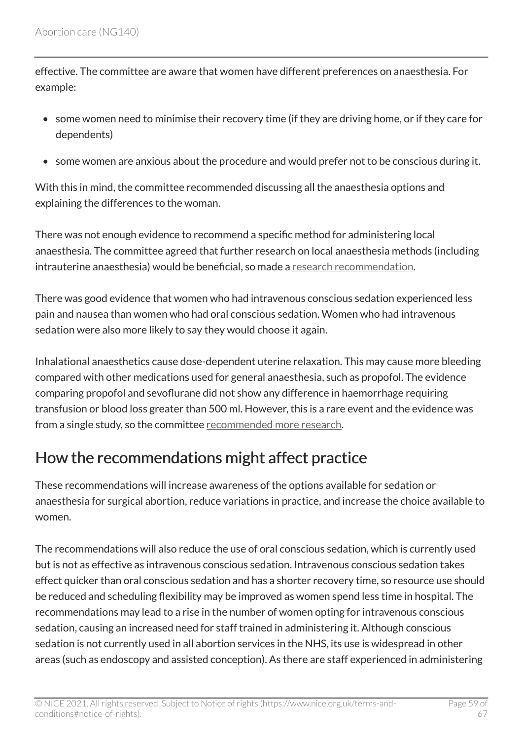effective. The committee are aware that women have different preferences on anaesthesia. For example:

- some women need to minimise their recovery time (if they are driving home, or if they care for dependents)
- some women are anxious about the procedure and would prefer not to be conscious during it.

With this in mind, the committee recommended discussing all the anaesthesia options and explaining the differences to the woman.

There was not enough evidence to recommend a specific method for administering local anaesthesia. The committee agreed that further research on local anaesthesia methods (including intrauterine anaesthesia) would be beneficial, so made a [research recommendation.](#page-32-1)

There was good evidence that women who had intravenous conscious sedation experienced less pain and nausea than women who had oral conscious sedation. Women who had intravenous sedation were also more likely to say they would choose it again.

Inhalational anaesthetics cause dose-dependent uterine relaxation. This may cause more bleeding compared with other medications used for general anaesthesia, such as propofol. The evidence comparing propofol and sevoflurane did not show any difference in haemorrhage requiring transfusion or blood loss greater than 500 ml. However, this is a rare event and the evidence was from a single study, so the committee [recommended more research.](#page-33-0)

### How the recommendations might affect practice

These recommendations will increase awareness of the options available for sedation or anaesthesia for surgical abortion, reduce variations in practice, and increase the choice available to women.

The recommendations will also reduce the use of oral conscious sedation, which is currently used but is not as effective as intravenous conscious sedation. Intravenous conscious sedation takes effect quicker than oral conscious sedation and has a shorter recovery time, so resource use should be reduced and scheduling flexibility may be improved as women spend less time in hospital. The recommendations may lead to a rise in the number of women opting for intravenous conscious sedation, causing an increased need for staff trained in administering it. Although conscious sedation is not currently used in all abortion services in the NHS, its use is widespread in other areas (such as endoscopy and assisted conception). As there are staff experienced in administering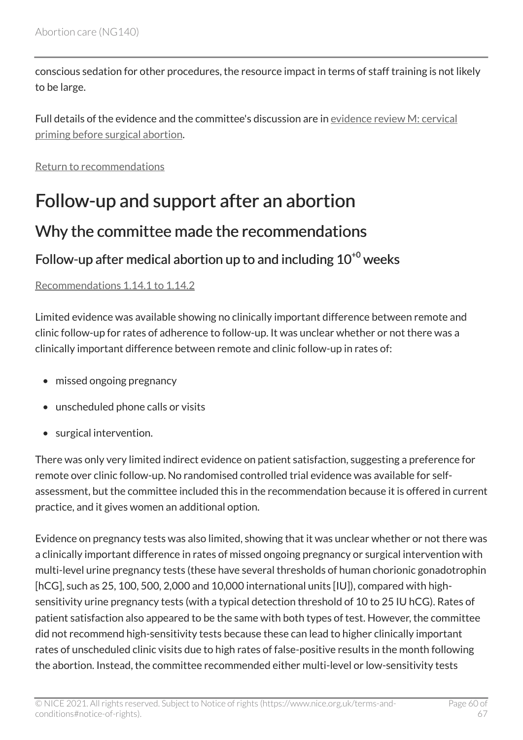conscious sedation for other procedures, the resource impact in terms of staff training is not likely to be large.

Full details of the evidence and the committee's discussion are in [evidence review](https://www.nice.org.uk/guidance/ng140/evidence/m-cervical-priming-before-surgical-abortion-pdf-248581907031) M: cervical [priming before surgical abortion.](https://www.nice.org.uk/guidance/ng140/evidence/m-cervical-priming-before-surgical-abortion-pdf-248581907031)

[Return to recommendations](#page-28-0)

# <span id="page-59-0"></span>Follow-up and support after an abortion

### Why the committee made the recommendations

### Follow-up after medical abortion up to and including  $10^{+0}$  weeks

[Recommendations 1.14.1 to 1.14.2](#page-29-1) 

Limited evidence was available showing no clinically important difference between remote and clinic follow-up for rates of adherence to follow-up. It was unclear whether or not there was a clinically important difference between remote and clinic follow-up in rates of:

- missed ongoing pregnancy
- unscheduled phone calls or visits
- surgical intervention.

There was only very limited indirect evidence on patient satisfaction, suggesting a preference for remote over clinic follow-up. No randomised controlled trial evidence was available for selfassessment, but the committee included this in the recommendation because it is offered in current practice, and it gives women an additional option.

Evidence on pregnancy tests was also limited, showing that it was unclear whether or not there was a clinically important difference in rates of missed ongoing pregnancy or surgical intervention with multi-level urine pregnancy tests (these have several thresholds of human chorionic gonadotrophin [hCG], such as 25, 100, 500, 2,000 and 10,000 international units [IU]), compared with highsensitivity urine pregnancy tests (with a typical detection threshold of 10 to 25 IU hCG). Rates of patient satisfaction also appeared to be the same with both types of test. However, the committee did not recommend high-sensitivity tests because these can lead to higher clinically important rates of unscheduled clinic visits due to high rates of false-positive results in the month following the abortion. Instead, the committee recommended either multi-level or low-sensitivity tests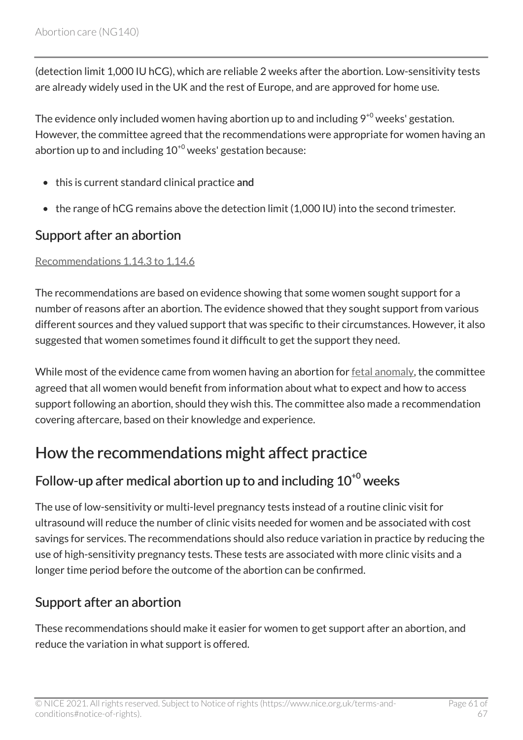(detection limit 1,000 IU hCG), which are reliable 2 weeks after the abortion. Low-sensitivity tests are already widely used in the UK and the rest of Europe, and are approved for home use.

The evidence only included women having abortion up to and including  $9^{+0}$  weeks' gestation. However, the committee agreed that the recommendations were appropriate for women having an abortion up to and including  $10^{+0}$  weeks' gestation because:

- this is current standard clinical practice and
- the range of hCG remains above the detection limit (1,000 IU) into the second trimester.

### Support after an abortion

#### [Recommendations 1.14.3 to 1.14.6](#page-29-2)

The recommendations are based on evidence showing that some women sought support for a number of reasons after an abortion. The evidence showed that they sought support from various different sources and they valued support that was specific to their circumstances. However, it also suggested that women sometimes found it difficult to get the support they need.

While most of the evidence came from women having an abortion for [fetal anomaly](#page-31-1), the committee agreed that all women would benefit from information about what to expect and how to access support following an abortion, should they wish this. The committee also made a recommendation covering aftercare, based on their knowledge and experience.

### How the recommendations might affect practice

### Follow-up after medical abortion up to and including  $10^{+0}$  weeks

The use of low-sensitivity or multi-level pregnancy tests instead of a routine clinic visit for ultrasound will reduce the number of clinic visits needed for women and be associated with cost savings for services. The recommendations should also reduce variation in practice by reducing the use of high-sensitivity pregnancy tests. These tests are associated with more clinic visits and a longer time period before the outcome of the abortion can be confirmed.

### Support after an abortion

These recommendations should make it easier for women to get support after an abortion, and reduce the variation in what support is offered.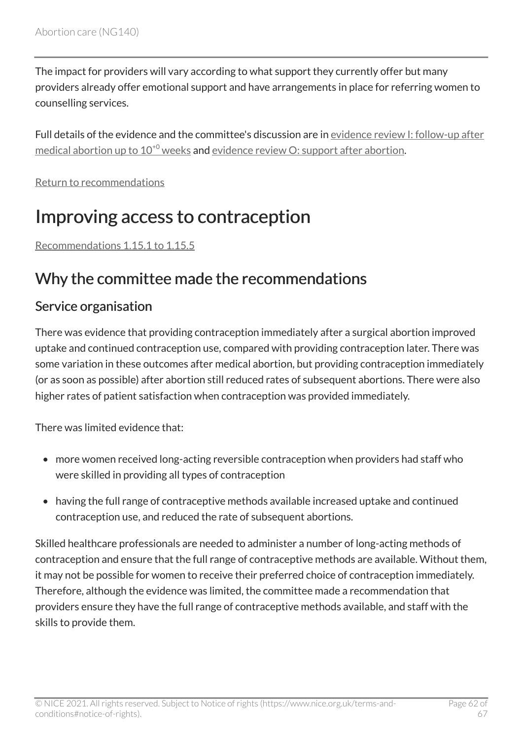The impact for providers will vary according to what support they currently offer but many providers already offer emotional support and have arrangements in place for referring women to counselling services.

Full details of the evidence and the committee's discussion are in evidence review [I: follow-up after](https://www.nice.org.uk/guidance/ng140/evidence/i-followup-after-medical-abortion-up-to-100-weeks-pdf-6905052981) medical abortion up to  $10^{40}$  weeks and evidence review [O: support after abortion](https://www.nice.org.uk/guidance/ng140/evidence/o-support-after-abortion-pdf-248581907033).

[Return to recommendations](#page-29-0)

## <span id="page-61-0"></span>Improving access to contraception

[Recommendations 1.15.1 to 1.15.5](#page-30-0) 

### Why the committee made the recommendations

#### Service organisation

There was evidence that providing contraception immediately after a surgical abortion improved uptake and continued contraception use, compared with providing contraception later. There was some variation in these outcomes after medical abortion, but providing contraception immediately (or as soon as possible) after abortion still reduced rates of subsequent abortions. There were also higher rates of patient satisfaction when contraception was provided immediately.

There was limited evidence that:

- more women received long-acting reversible contraception when providers had staff who were skilled in providing all types of contraception
- having the full range of contraceptive methods available increased uptake and continued contraception use, and reduced the rate of subsequent abortions.

Skilled healthcare professionals are needed to administer a number of long-acting methods of contraception and ensure that the full range of contraceptive methods are available. Without them, it may not be possible for women to receive their preferred choice of contraception immediately. Therefore, although the evidence was limited, the committee made a recommendation that providers ensure they have the full range of contraceptive methods available, and staff with the skills to provide them.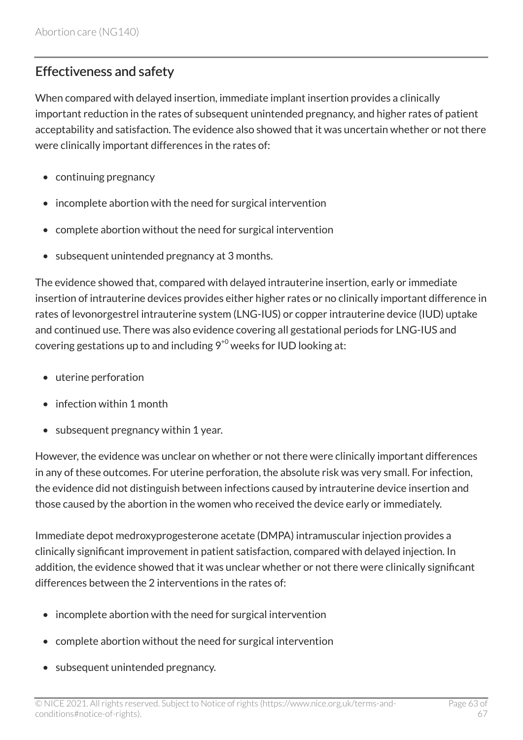### Effectiveness and safety

When compared with delayed insertion, immediate implant insertion provides a clinically important reduction in the rates of subsequent unintended pregnancy, and higher rates of patient acceptability and satisfaction. The evidence also showed that it was uncertain whether or not there were clinically important differences in the rates of:

- continuing pregnancy
- incomplete abortion with the need for surgical intervention
- complete abortion without the need for surgical intervention
- subsequent unintended pregnancy at 3 months.

The evidence showed that, compared with delayed intrauterine insertion, early or immediate insertion of intrauterine devices provides either higher rates or no clinically important difference in rates of levonorgestrel intrauterine system (LNG-IUS) or copper intrauterine device (IUD) uptake and continued use. There was also evidence covering all gestational periods for LNG-IUS and covering gestations up to and including  $9^{+0}$  weeks for IUD looking at:

- uterine perforation
- infection within 1 month
- subsequent pregnancy within 1 year.

However, the evidence was unclear on whether or not there were clinically important differences in any of these outcomes. For uterine perforation, the absolute risk was very small. For infection, the evidence did not distinguish between infections caused by intrauterine device insertion and those caused by the abortion in the women who received the device early or immediately.

Immediate depot medroxyprogesterone acetate (DMPA) intramuscular injection provides a clinically significant improvement in patient satisfaction, compared with delayed injection. In addition, the evidence showed that it was unclear whether or not there were clinically significant differences between the 2 interventions in the rates of:

- incomplete abortion with the need for surgical intervention
- complete abortion without the need for surgical intervention
- subsequent unintended pregnancy.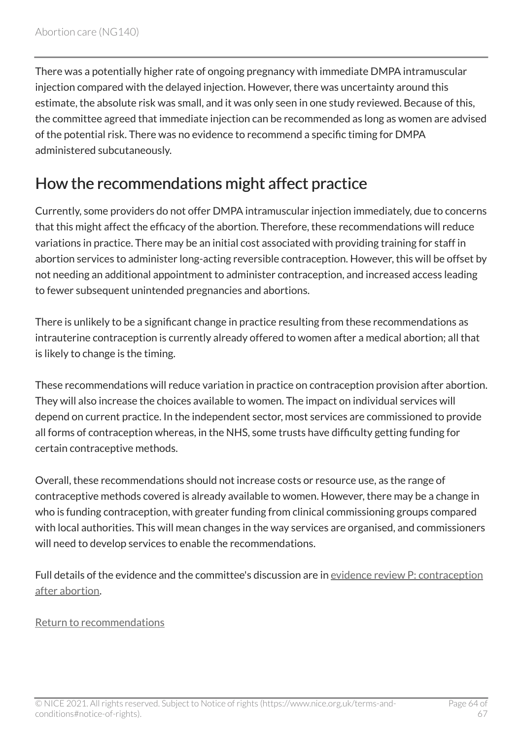There was a potentially higher rate of ongoing pregnancy with immediate DMPA intramuscular injection compared with the delayed injection. However, there was uncertainty around this estimate, the absolute risk was small, and it was only seen in one study reviewed. Because of this, the committee agreed that immediate injection can be recommended as long as women are advised of the potential risk. There was no evidence to recommend a specific timing for DMPA administered subcutaneously.

### How the recommendations might affect practice

Currently, some providers do not offer DMPA intramuscular injection immediately, due to concerns that this might affect the efficacy of the abortion. Therefore, these recommendations will reduce variations in practice. There may be an initial cost associated with providing training for staff in abortion services to administer long-acting reversible contraception. However, this will be offset by not needing an additional appointment to administer contraception, and increased access leading to fewer subsequent unintended pregnancies and abortions.

There is unlikely to be a significant change in practice resulting from these recommendations as intrauterine contraception is currently already offered to women after a medical abortion; all that is likely to change is the timing.

These recommendations will reduce variation in practice on contraception provision after abortion. They will also increase the choices available to women. The impact on individual services will depend on current practice. In the independent sector, most services are commissioned to provide all forms of contraception whereas, in the NHS, some trusts have difficulty getting funding for certain contraceptive methods.

Overall, these recommendations should not increase costs or resource use, as the range of contraceptive methods covered is already available to women. However, there may be a change in who is funding contraception, with greater funding from clinical commissioning groups compared with local authorities. This will mean changes in the way services are organised, and commissioners will need to develop services to enable the recommendations.

Full details of the evidence and the committee's discussion are in evidence review [P: contraception](https://www.nice.org.uk/guidance/ng140/evidence/p-contraception-after-abortion-pdf-248581907034) [after abortion](https://www.nice.org.uk/guidance/ng140/evidence/p-contraception-after-abortion-pdf-248581907034).

#### [Return to recommendations](#page-30-0)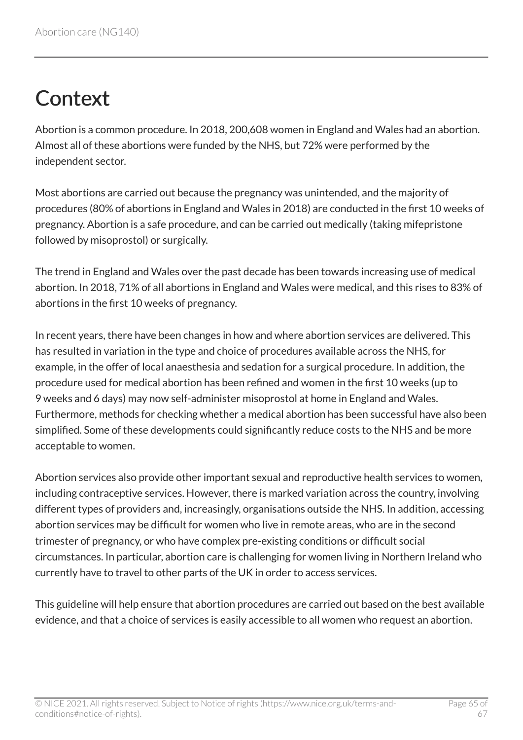# <span id="page-64-0"></span>**Context**

Abortion is a common procedure. In 2018, 200,608 women in England and Wales had an abortion. Almost all of these abortions were funded by the NHS, but 72% were performed by the independent sector.

Most abortions are carried out because the pregnancy was unintended, and the majority of procedures (80% of abortions in England and Wales in 2018) are conducted in the first 10 weeks of pregnancy. Abortion is a safe procedure, and can be carried out medically (taking mifepristone followed by misoprostol) or surgically.

The trend in England and Wales over the past decade has been towards increasing use of medical abortion. In 2018, 71% of all abortions in England and Wales were medical, and this rises to 83% of abortions in the first 10 weeks of pregnancy.

In recent years, there have been changes in how and where abortion services are delivered. This has resulted in variation in the type and choice of procedures available across the NHS, for example, in the offer of local anaesthesia and sedation for a surgical procedure. In addition, the procedure used for medical abortion has been refined and women in the first 10 weeks (up to 9 weeks and 6 days) may now self-administer misoprostol at home in England and Wales. Furthermore, methods for checking whether a medical abortion has been successful have also been simplified. Some of these developments could significantly reduce costs to the NHS and be more acceptable to women.

Abortion services also provide other important sexual and reproductive health services to women, including contraceptive services. However, there is marked variation across the country, involving different types of providers and, increasingly, organisations outside the NHS. In addition, accessing abortion services may be difficult for women who live in remote areas, who are in the second trimester of pregnancy, or who have complex pre-existing conditions or difficult social circumstances. In particular, abortion care is challenging for women living in Northern Ireland who currently have to travel to other parts of the UK in order to access services.

This guideline will help ensure that abortion procedures are carried out based on the best available evidence, and that a choice of services is easily accessible to all women who request an abortion.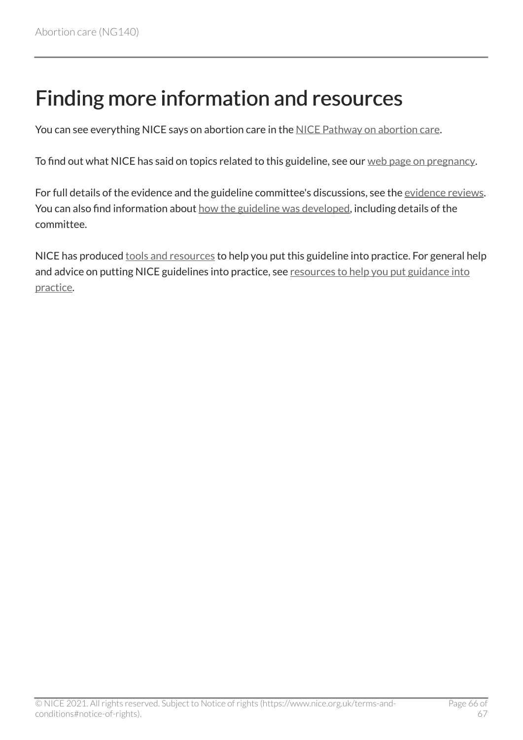# <span id="page-65-0"></span>Finding more information and resources

You can see everything NICE says on abortion care in the [NICE Pathway on abortion care.](http://pathways.nice.org.uk/pathways/abortion-care)

To find out what NICE has said on topics related to this guideline, see our [web page on pregnancy](http://www.nice.org.uk/guidance/conditions-and-diseases/fertility--pregnancy-and-childbirth/pregnancy).

For full details of the evidence and the guideline committee's discussions, see the [evidence reviews.](http://www.nice.org.uk/Guidance/NG140/evidence) You can also find information about [how the guideline was developed](http://www.nice.org.uk/Guidance/NG140/documents), including details of the committee.

NICE has produced [tools and resources](http://www.nice.org.uk/guidance/ng140/resources) to help you put this guideline into practice. For general help and advice on putting NICE guidelines into practice, see resources to help you put guidance into [practice](https://www.nice.org.uk/about/what-we-do/into-practice/resources-help-put-guidance-into-practice).